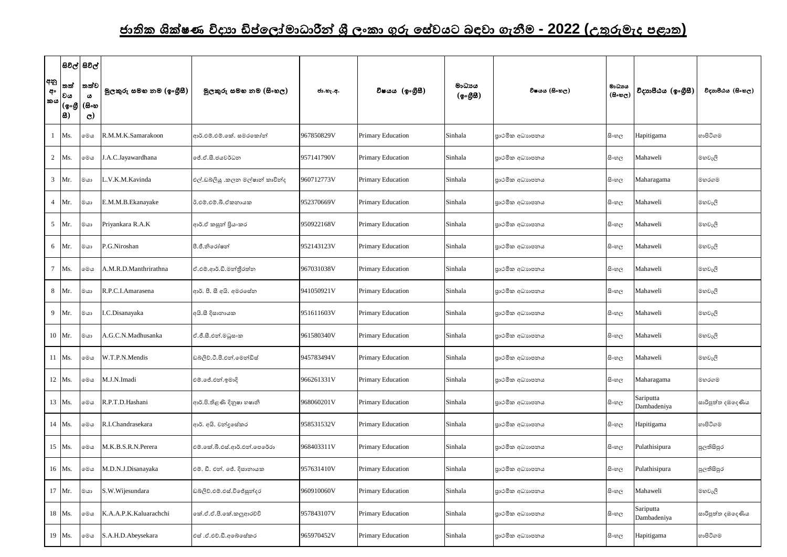## <u>ජාතික ශික්ෂණ විදාහ ඩිප්ලෝමාධාරීන් ශී ලංකා ගුරු සේවයට බඳවා ගැනීම - 2022 (උතුරුමැද පළාත)</u>

|                 |              | සිවිල් සිවිල්          |                          |                                  |            |                   |                    |                 |                                      |                          |                   |
|-----------------|--------------|------------------------|--------------------------|----------------------------------|------------|-------------------|--------------------|-----------------|--------------------------------------|--------------------------|-------------------|
| අනු<br>අං       | තත්<br> වය   | තත්ව<br>ය              | මූලකුරු සමහ නම (ඉංගුිසී) | මූලකුරු සමහ නම (සිංහල)           | ජා.හැ.අ.   | විෂයය (ඉංගීුසී)   | මාධායය<br>(ඉංගීසි) | විෂයය (සිංහල)   | මාධායය<br>$(B \circ \circledcirc e)$ | විදාහපීඨය (ඉංගීසී)       | විදාහපීඨය (සිංහල) |
| කය              | (ஓ.கு<br>83) | (සිංහ<br>$\mathcal{C}$ |                          |                                  |            |                   |                    |                 |                                      |                          |                   |
|                 | Ms.          | මෙය                    | R.M.M.K.Samarakoon       | ආර්.එම්.එම්.කේ. සමරකෝන්          | 967850829V | Primary Education | Sinhala            | පාථමික අධාහපනය  | සිංහල                                | Hapitigama               | හාපිටිගම          |
| $\overline{2}$  | Ms.          | මෙය                    | J.A.C.Jayawardhana       | ්ප්.ඒ.සී.ජයවර්ධන                 | 957141790V | Primary Education | Sinhala            | පාථමික අධාහපනය  | සි∘හල                                | Mahaweli                 | මහවැලි            |
| $\mathbf{3}$    | Mr.          | මයා                    | L.V.K.M.Kavinda          | එල්.ඩබ්ලියු .කලන මල්ෂාන් කාවින්ද | 960712773V | Primary Education | Sinhala            | පාථමික අධාහපනය  | සි∘හල                                | Maharagama               | මහරගම             |
| $\overline{4}$  | Mr.          | මයා                    | E.M.M.B.Ekanayake        | ඊ.එම්.එම්.බී.ඒකනායක              | 952370669V | Primary Education | Sinhala            | පාථමික අධාහපනය  | සි∘හල                                | Mahaweli                 | මහවැලි            |
|                 | 5 Mr.        | මයා                    | Priyankara R.A.K         | ආර්.ඒ කසුන් පියංකර               | 950922168V | Primary Education | Sinhala            | පාථමික අධාහපනය  | සි∘හල                                | Mahaweli                 | මහවැලි            |
| 6               | Mr.          | මයා                    | P.G.Niroshan             | පී.ජී.නිරෝෂන්                    | 952143123V | Primary Education | Sinhala            | පාථමික අධාහපනය  | සි∘හල                                | Mahaweli                 | මහවැලි            |
| $7\overline{ }$ | Ms.          | මෙය                    | A.M.R.D.Manthrirathna    | ඒ.එම්.ආර්.ඩි.මන්තීරත්න           | 967031038V | Primary Education | Sinhala            | පාථමික අධාහපනය  | සි∘හල                                | Mahaweli                 | මහවැලි            |
| 8               | Mr.          | මයා                    | R.P.C.I.Amarasena        | ආර්. පී. සී අයි. අමරසේන          | 941050921V | Primary Education | Sinhala            | පාථමික අධාහපනය  | සි∘හල                                | Mahaweli                 | මහවැලි            |
|                 | 9 Mr.        | මයා                    | I.C.Disanayaka           | අයි.සී දිසානායක                  | 951611603V | Primary Education | Sinhala            | පාථමික අධාහපනය  | සි∘හල                                | Mahaweli                 | මහවැලි            |
|                 | 10 Mr.       | මයා                    | A.G.C.N.Madhusanka       | ඒ.ජී.සී.එන්.මධුසංක               | 961580340V | Primary Education | Sinhala            | පාථමික අධාහපනය  | සි∘හල                                | Mahaweli                 | මහවැලි            |
|                 | 11 Ms.       | මෙය                    | W.T.P.N.Mendis           | ඩබලිව්.ටී.පී.එන්.මෙන්ඩිස්        | 945783494V | Primary Education | Sinhala            | පාථමික අධාහපනය  | සිංහල                                | Mahaweli                 | මහවැලි            |
|                 | 12 Ms.       | මෙය                    | M.J.N.Imadi              | එම්.ජේ.එන්.ඉමාදි                 | 966261331V | Primary Education | Sinhala            | පාථමික අධාහපනය  | සිංහල                                | Maharagama               | මහරගම             |
|                 | 13 Ms.       | මෙය                    | R.P.T.D.Hashani          | ආර්.පි.තිළණි දිනුෂා හෂානි        | 968060201V | Primary Education | Sinhala            | පාථමික අධාහපනය  | සිංහල                                | Sariputta<br>Dambadeniya | සාරිපුත්ත දඹදෙණිය |
|                 | 14 Ms.       | මෙය                    | R.I.Chandrasekara        | ආර්. අයි. චන්දුසේකර              | 958531532V | Primary Education | Sinhala            | පාථමික අධාහපනය  | සිංහල                                | Hapitigama               | හාපිටිගම          |
|                 | 15 Ms.       | මෙය                    | M.K.B.S.R.N.Perera       | එම්.කේ.බී.එස්.ආර්.එන්.පෙරේරා     | 968403311V | Primary Education | Sinhala            | පාථමික අධාහපනය  | සිංහල                                | Pulathisipura            | පුලතිසිපුර        |
|                 | 16 Ms.       | මෙය                    | M.D.N.J.Disanayaka       | එම්. ඩී. එන්. ජේ. දිසානායක       | 957631410V | Primary Education | Sinhala            | පාථමික අධාහපනය  | සිංහල                                | Pulathisipura            | පුලතිසිපුර        |
|                 | 17 Mr.       | මයා                    | S.W.Wijesundara          | ඩබ්ලිව්.එම්.එස්.විජේසුන්දර       | 960910060V | Primary Education | Sinhala            | පාථමික අධාහපනය  | සිංහල                                | Mahaweli                 | මහවැලි            |
|                 | 18 Ms.       | මෙය                    | K.A.A.P.K.Kaluarachchi   | කේ.ඒ.ඒ.පී.කේ.කලූආරච්චි           | 957843107V | Primary Education | Sinhala            | පාථමික අධාහපනය  | සිංහල                                | Sariputta<br>Dambadeniya | සාරිපුත්ත දඹදෙණිය |
|                 | 19 Ms.       | මෙය                    | S.A.H.D.Abeysekara       | එස් .ඒ.එච්.ඩී.අබේසේකර            | 965970452V | Primary Education | Sinhala            | පුාථමික අධාහපනය | සිංහල                                | Hapitigama               | හාපිටිගම          |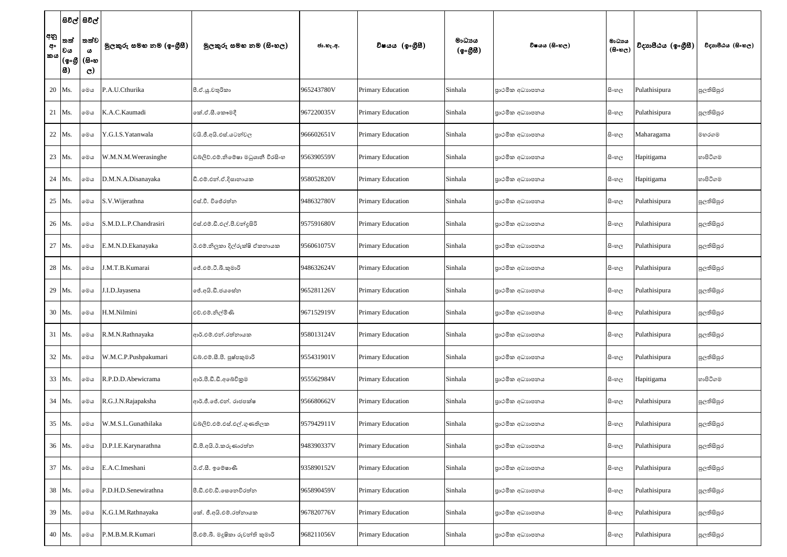|                 | සිවිල් සිවිල්                                                                                                                                  |                               |                          |                                    |            |                          |                    |                 |                                     |                    |                   |
|-----------------|------------------------------------------------------------------------------------------------------------------------------------------------|-------------------------------|--------------------------|------------------------------------|------------|--------------------------|--------------------|-----------------|-------------------------------------|--------------------|-------------------|
| අනු<br>අං<br>කය | තත්<br> වය                                                                                                                                     | තත්ව<br>$\boldsymbol{\omega}$ | මුලකුරු සමහ නම (ඉංගුීසී) | මූලකුරු සමහ නම (සිංහල)             | ජා.හැ.අ.   | විෂයය (ඉංගීුසී)          | මාධාපය<br>(ඉංගීසී) | විෂයය (සිංහල)   | මාධාය<br>$(B \circ \mathfrak{v}_C)$ | විදාහපීඨය (ඉංගීසී) | විදාහපීඨය (සිංහල) |
|                 | $\overline{\phantom{a}}\, (\mathbf{\circ}\!\circ\!\mathbf{\mathfrak{G}}\, \,( \mathbf{\mathfrak{S}}\!\circ\!\mathbf{\mathfrak{G}}\, \,$<br> 8) | $\mathbf{C}$                  |                          |                                    |            |                          |                    |                 |                                     |                    |                   |
|                 | 20 Ms.                                                                                                                                         | මෙය                           | P.A.U.Cthurika           | පී.ඒ.යූ.චතුරිකා                    | 965243780V | Primary Education        | Sinhala            | පාථමික අධාහපනය  | සි∘හල                               | Pulathisipura      | පුලතිසිපුර        |
|                 | 21 Ms.                                                                                                                                         | මෙය                           | K.A.C.Kaumadi            | කේ.ඒ.සී.කෞමදී                      | 967220035V | Primary Education        | Sinhala            | පාථමික අධාහපනය  | සි∘හල                               | Pulathisipura      | පුලතිසිපුර        |
|                 | 22 Ms.                                                                                                                                         | මෙය                           | Y.G.I.S. Yatanwala       | වයි.ජී.අයි.එස්.යටත්වල              | 966602651V | <b>Primary Education</b> | Sinhala            | පාථමික අධාහපනය  | සි∘හල                               | Maharagama         | මහරගම             |
|                 | 23 Ms.                                                                                                                                         | මෙය                           | W.M.N.M.Weerasinghe      | ඩබ්ලිව්.එම්.නිමේෂා මධුශානී වීරසිංහ | 956390559V | Primary Education        | Sinhala            | පාථමික අධාහපනය  | සි∘හල                               | Hapitigama         | හාපිටිගම          |
|                 | 24 Ms.                                                                                                                                         | මෙය                           | D.M.N.A.Disanayaka       | ඩී.එම්.එන්.ඒ.දිසානායක              | 958052820V | <b>Primary Education</b> | Sinhala            | පාථමික අධාහපනය  | සි∘හල                               | Hapitigama         | හාපිටිගම          |
|                 | 25 Ms.                                                                                                                                         | මෙය                           | S.V. Wijerathna          | එස්.වී. විජේරත්න                   | 948632780V | <b>Primary Education</b> | Sinhala            | පාථමික අධාහපනය  | සි∘හල                               | Pulathisipura      | පුලතිසිපුර        |
|                 | 26 Ms.                                                                                                                                         | මෙය                           | S.M.D.L.P.Chandrasiri    | එස්.එම්.ඩී.එල්.පී.චන්දුසිරි        | 957591680V | Primary Education        | Sinhala            | පාථමික අධාහපනය  | සි∘හල                               | Pulathisipura      | පුලතිසිපුර        |
|                 | 27 Ms.                                                                                                                                         | මෙය                           | E.M.N.D.Ekanayaka        | ඊ.එම්.නිලූකා දිල්රුක්ෂි ඒකනායක     | 956061075V | <b>Primary Education</b> | Sinhala            | පාථමික අධාහපනය  | සි∘හල                               | Pulathisipura      | පුලතිසිපුර        |
|                 | 28 Ms.                                                                                                                                         | මෙය                           | J.M.T.B.Kumarai          | ්.එම්.ටී.බී.කුමාරි                 | 948632624V | <b>Primary Education</b> | Sinhala            | පාථමික අධාහපනය  | සිංහල                               | Pulathisipura      | පුලතිසිපුර        |
|                 | 29 Ms.                                                                                                                                         | මෙය                           | J.I.D.Jayasena           | ේ.අයි.ඩී.ජයසේන                     | 965281126V | <b>Primary Education</b> | Sinhala            | පාථමික අධාහපනය  | සි∘හල                               | Pulathisipura      | පුලතිසිපුර        |
|                 | 30 Ms.                                                                                                                                         | මෙය                           | H.M.Nilmini              | එච්.එම්.නිල්මිණි                   | 967152919V | <b>Primary Education</b> | Sinhala            | පාථමික අධාහපනය  | සි∘හල                               | Pulathisipura      | පුලතිසිපුර        |
|                 | 31 Ms.                                                                                                                                         | මෙය                           | R.M.N.Rathnayaka         | ආර්.එම්.එන්.රත්නායක                | 958013124V | <b>Primary Education</b> | Sinhala            | පාථමික අධාහපනය  | සි∘හල                               | Pulathisipura      | පුලතිසිපුර        |
|                 | 32 Ms.                                                                                                                                         | මෙය                           | W.M.C.P.Pushpakumari     | ඩබ්.එම්.සී.පී. පුෂ්පකුමාරි         | 955431901V | <b>Primary Education</b> | Sinhala            | පාථමික අධාහපනය  | සි∘හල                               | Pulathisipura      | පුලතිසිපුර        |
|                 | 33 Ms.                                                                                                                                         | මෙය                           | R.P.D.D.Abewicrama       | ආර්.පී.ඩී.ඩී.අබේවිකුම              | 955562984V | <b>Primary Education</b> | Sinhala            | පාථමික අධාහපනය  | සි∘හල                               | Hapitigama         | හාපිටිගම          |
|                 | 34 Ms.                                                                                                                                         | මෙය                           | R.G.J.N.Rajapaksha       | ආර්.ජී.ජේ.එන්. රාජපක්ෂ             | 956680662V | Primary Education        | Sinhala            | පාථමික අධාහපනය  | සි∘හල                               | Pulathisipura      | පුලතිසිපුර        |
|                 | 35 Ms.                                                                                                                                         | මෙය                           | W.M.S.L.Gunathilaka      | ඩබ්ලිව්.එම්.එස්.එල්.ගුණතිලක        | 957942911V | Primary Education        | Sinhala            | පාථමික අධාහපනය  | සි∘හල                               | Pulathisipura      | පුලතිසිපුර        |
|                 | 36 Ms.                                                                                                                                         | මෙය                           | D.P.I.E.Karynarathna     | ඩී.පී.අයි.ඊ.කරුණාරත්න              | 948390337V | <b>Primary Education</b> | Sinhala            | පාථමික අධාහපනය  | සි∘හල                               | Pulathisipura      | පුලතිසිපුර        |
|                 | 37 Ms.                                                                                                                                         | මෙය                           | E.A.C.Imeshani           | ඊ.ඒ.සී. ඉමෙෂාණී                    | 935890152V | <b>Primary Education</b> | Sinhala            | පාථමික අධාහපනය  | සි∘හල                               | Pulathisipura      | පුලතිසිපුර        |
|                 | 38 Ms.                                                                                                                                         | මෙය                           | P.D.H.D.Senewirathna     | පී.ඩී.එච්.ඩී.සෙනෙවිරත්ත            | 965890459V | <b>Primary Education</b> | Sinhala            | පාථමික අධාහපනය  | සිංහල                               | Pulathisipura      | පුලතිසිපුර        |
|                 | 39 Ms.                                                                                                                                         | මෙය                           | K.G.I.M.Rathnayaka       | කේ. ජී.අයි.එම්.රත්නායක             | 967820776V | Primary Education        | Sinhala            | පාථමික අධාහපනය  | සි∘හල                               | Pulathisipura      | පුලතිසිපුර        |
|                 | 40 Ms.                                                                                                                                         | මෙය                           | P.M.B.M.R.Kumari         | පී.එම්.බී. මදූෂිකා රුවන්ති කුමාරි  | 968211056V | Primary Education        | Sinhala            | පුාථමික අධාහපනය | සිංහල                               | Pulathisipura      | පුලතිසිපුර        |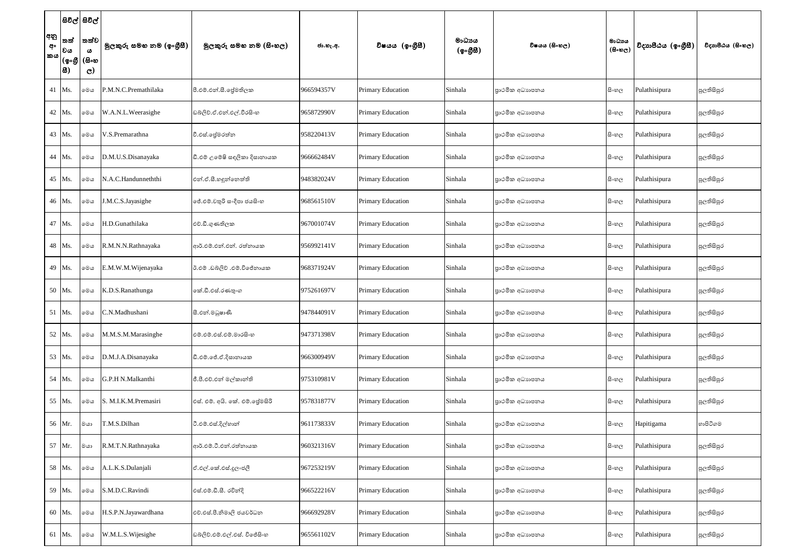|                 | සිවිල් සිවිල්                                                                                                                                                |                                               |                          |                                 |            |                          |                    |                 |                                     |                    |                   |
|-----------------|--------------------------------------------------------------------------------------------------------------------------------------------------------------|-----------------------------------------------|--------------------------|---------------------------------|------------|--------------------------|--------------------|-----------------|-------------------------------------|--------------------|-------------------|
| අනු<br>අං<br>කය | තත්<br> වය<br>$\overline{\phantom{a}}\, (\mathbf{\circ}\!\circ\!\mathbf{\mathfrak{G}}\, \,( \mathbf{\mathfrak{S}}\!\circ\!\mathbf{\mathfrak{G}}\, \,$<br> 8) | තත්ව<br>$\boldsymbol{\omega}$<br>$\mathbf{C}$ | මුලකුරු සමහ නම (ඉංගුීසී) | මුලකුරු සමහ නම (සිංහල)          | ජා.හැ.අ.   | විෂයය (ඉංගීසී)           | මාධාපය<br>(ඉංගීසී) | විෂයය (සිංහල)   | මාධාය<br>$(B \circ \mathfrak{v}_C)$ | විදාහපීඨය (ඉංගීසී) | විදාහපීඨය (සිංහල) |
|                 | 41 Ms.                                                                                                                                                       | මෙය                                           | P.M.N.C.Premathilaka     | පී.එම්.එන්.සී. ජේමතිලක          | 966594357V | Primary Education        | Sinhala            | පාථමික අධාහපනය  | සි∘හල                               | Pulathisipura      | පුලතිසිපුර        |
|                 | 42 Ms.                                                                                                                                                       | මෙය                                           | W.A.N.L.Weerasighe       | ඩබ්ලිව්.ඒ.එත්.එල්.වීරසිංහ       | 965872990V | Primary Education        | Sinhala            | පාථමික අධාහපනය  | සි∘හල                               | Pulathisipura      | පුලතිසිපුර        |
|                 | 43 Ms.                                                                                                                                                       | මෙය                                           | V.S.Premarathna          | වී.එස්.ලේමරත්න                  | 958220413V | <b>Primary Education</b> | Sinhala            | පාථමික අධාහපනය  | සිංහල                               | Pulathisipura      | පුලතිසිපුර        |
|                 | 44 Ms.                                                                                                                                                       | මෙය                                           | D.M.U.S.Disanayaka       | ඩී.එම් උමේෂි සඳලිකා දිසානායක    | 966662484V | <b>Primary Education</b> | Sinhala            | පාථමික අධාහපනය  | සිංහල                               | Pulathisipura      | පුලතිසිපුර        |
|                 | 45 Ms.                                                                                                                                                       | මෙය                                           | N.A.C.Handunneththi      | එන්.ඒ.සී.හඳුන්නෙත්ති            | 948382024V | <b>Primary Education</b> | Sinhala            | පාථමික අධාහපනය  | සිංහල                               | Pulathisipura      | පුලතිසිපුර        |
|                 | 46 Ms.                                                                                                                                                       | මෙය                                           | J.M.C.S.Jayasighe        | ලජ්.එම්.චතුරි සංදීපා ජයසිංහ     | 968561510V | Primary Education        | Sinhala            | පාථමික අධාහපනය  | සි∘හල                               | Pulathisipura      | පුලතිසිපුර        |
|                 | 47 Ms.                                                                                                                                                       | මෙය                                           | H.D.Gunathilaka          | එච්.ඩී.ගුණතිලක                  | 967001074V | <b>Primary Education</b> | Sinhala            | පාථමික අධාහපනය  | සි∘හල                               | Pulathisipura      | පුලතිසිපුර        |
|                 | 48 Ms.                                                                                                                                                       | මෙය                                           | R.M.N.N.Rathnayaka       | ආර්.එම්.එන්.එන්. රත්නායක        | 956992141V | <b>Primary Education</b> | Sinhala            | පාථමික අධාහපනය  | සිංහල                               | Pulathisipura      | පුලතිසිපුර        |
|                 | 49 Ms.                                                                                                                                                       | මෙය                                           | E.M.W.M.Wijenayaka       | ඊ.එම් .ඩබ්ලිව් .එම්.විජේනායක    | 968371924V | <b>Primary Education</b> | Sinhala            | පාථමික අධාහපනය  | සිංහල                               | Pulathisipura      | පුලතිසිපුර        |
|                 | 50 Ms.                                                                                                                                                       | මෙය                                           | K.D.S.Ranathunga         | කේ.ඩී.එස්.රණතුංග                | 975261697V | <b>Primary Education</b> | Sinhala            | පාථමික අධාහපනය  | සි∘හල                               | Pulathisipura      | පුලතිසිපුර        |
|                 | 51 Ms.                                                                                                                                                       | මෙය                                           | C.N.Madhushani           | සී.එන්.මධුෂාණී                  | 947844091V | Primary Education        | Sinhala            | පාථමික අධාහපනය  | සි∘හල                               | Pulathisipura      | පුලතිසිපුර        |
|                 | 52 Ms.                                                                                                                                                       | මෙය                                           | M.M.S.M.Marasinghe       | එම්.එම්.එස්.එම්.මාරසිංහ         | 947371398V | <b>Primary Education</b> | Sinhala            | පාථමික අධාහපනය  | සි∘හල                               | Pulathisipura      | පුලතිසිපුර        |
|                 | 53 Ms.                                                                                                                                                       | මෙය                                           | D.M.J.A.Disanayaka       | ඩී.එම්.ජේ.ඒ.දිසානායක            | 966300949V | <b>Primary Education</b> | Sinhala            | පාථමික අධාහපනය  | සි∘හල                               | Pulathisipura      | පුලතිසිපුර        |
|                 | 54 Ms.                                                                                                                                                       | මෙය                                           | G.P.H N.Malkanthi        | ජී.පී.එච්.එන් මල්කාන්ති         | 975310981V | <b>Primary Education</b> | Sinhala            | පාථමික අධාහපනය  | සිංහල                               | Pulathisipura      | පුලතිසිපුර        |
|                 | 55 Ms.                                                                                                                                                       | මෙය                                           | S. M.I.K.M.Premasiri     | එස්. එම්. අයි. කේ. එම්. ජේමසිරි | 957831877V | Primary Education        | Sinhala            | පාථමික අධාහපනය  | සි∘හල                               | Pulathisipura      | පුලතිසිපුර        |
|                 | 56 Mr.                                                                                                                                                       | මයා                                           | T.M.S.Dilhan             | ටී.එම්.එස්.දිල්හාන්             | 961173833V | Primary Education        | Sinhala            | පාථමික අධාහපනය  | සි∘හල                               | Hapitigama         | හාපිටිගම          |
|                 | 57 Mr.                                                                                                                                                       | මයා                                           | R.M.T.N.Rathnayaka       | ආර්.එම්.ටී.එන්.රත්නායක          | 960321316V | <b>Primary Education</b> | Sinhala            | පාථමික අධාහපනය  | සි∘හල                               | Pulathisipura      | පුලතිසිපුර        |
|                 | 58 Ms.                                                                                                                                                       | මෙය                                           | A.L.K.S.Dulanjali        | ඒ.එල්.කේ.එස්.දූලංජලී            | 967253219V | <b>Primary Education</b> | Sinhala            | පාථමික අධාහපනය  | සි∘හල                               | Pulathisipura      | පුලතිසිපුර        |
|                 | 59 Ms.                                                                                                                                                       | මෙය                                           | S.M.D.C.Ravindi          | එස්.එම්.ඩී.සී. රවින්දි          | 966522216V | <b>Primary Education</b> | Sinhala            | පාථමික අධාහපනය  | සි∘හල                               | Pulathisipura      | පුලතිසිපුර        |
|                 | 60 Ms.                                                                                                                                                       | මෙය                                           | H.S.P.N.Jayawardhana     | එච්.එස්.පී.නිමාලි ජයවර්ධන       | 966692928V | Primary Education        | Sinhala            | පාථමික අධාහපනය  | සි∘හල                               | Pulathisipura      | පුලතිසිපුර        |
|                 | 61 Ms.                                                                                                                                                       | මෙය                                           | W.M.L.S.Wijesighe        | ඩබ්ලිව්.එම්.එල්.එස්. විජේසිංහ   | 965561102V | Primary Education        | Sinhala            | පුාථමික අධාහපනය | සි∘හල                               | Pulathisipura      | පුලතිසිපුර        |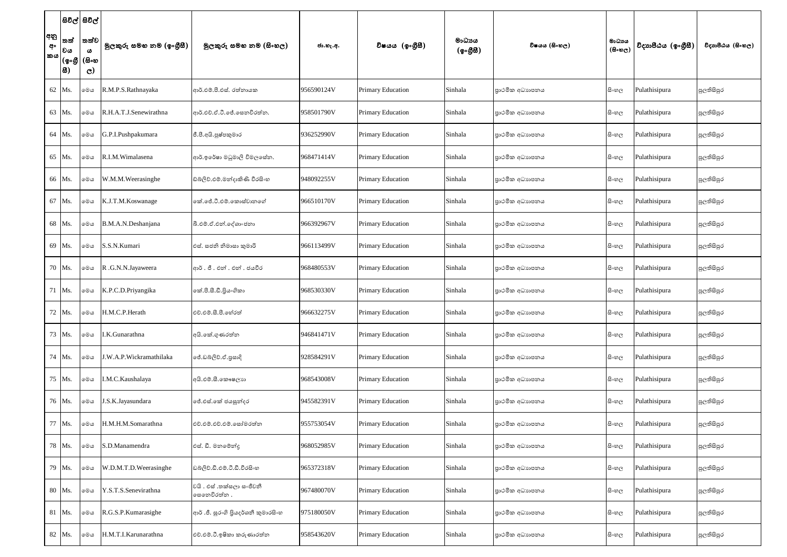|                 | සිවිල් සිවිල්                    |                                           |                          |                                           |            |                          |                                                  |                |                                     |                    |                   |
|-----------------|----------------------------------|-------------------------------------------|--------------------------|-------------------------------------------|------------|--------------------------|--------------------------------------------------|----------------|-------------------------------------|--------------------|-------------------|
| අනු<br>අං<br>කය | තත්<br> වය<br> (စွ•စ္ဟု <br> සි) | තත්ව<br>$\omega$<br>(සිංහ<br>$\mathbf{C}$ | මුලකුරු සමහ නම (ඉංගුීසී) | මුලකුරු සමහ නම (සිංහල)                    | ජා.හැ.අ.   | විෂයය (ඉංගීසී)           | මාධායය<br>$(\phi \circ \mathcal{B} \mathcal{B})$ | විෂයය (සිංහල)  | මාධාය<br>$(B \circ \mathfrak{v}_C)$ | විදාහපීඨය (ඉංගීසී) | විදාහපීඨය (සිංහල) |
|                 | 62 Ms.                           | මෙය                                       | R.M.P.S.Rathnayaka       | ආර්.එම්.පී.එස්. රත්නායක                   | 956590124V | Primary Education        | Sinhala                                          | පාථමික අධාහපනය | සි∘හල                               | Pulathisipura      | පුලතිසිපුර        |
|                 | 63 Ms.                           | මෙය                                       | R.H.A.T.J.Senewirathna   | ආර්.එච්.ඒ.ටී.ජේ.සෙනවිරත්න.                | 958501790V | Primary Education        | Sinhala                                          | පාථමික අධාහපනය | සි∘හල                               | Pulathisipura      | පුලතිසිපුර        |
|                 | 64 Ms.                           | මෙය                                       | G.P.I.Pushpakumara       | ජී.පී.අයි.පුෂ්පකුමාර                      | 936252990V | <b>Primary Education</b> | Sinhala                                          | පාථමික අධාහපනය | සි∘හල                               | Pulathisipura      | පුලතිසිපුර        |
|                 | 65 Ms.                           | මෙය                                       | R.I.M. Wimalasena        | ආර්.ඉරේෂා මධුමාලි විමලසේන.                | 968471414V | <b>Primary Education</b> | Sinhala                                          | පාථමික අධාහපනය | සිංහල                               | Pulathisipura      | පුලතිසිපුර        |
|                 | 66 Ms.                           | මෙය                                       | W.M.M.Weerasinghe        | ඩ්බ්ලිව්.එම්.මන්දාකිණි වීරසිංහ            | 948092255V | <b>Primary Education</b> | Sinhala                                          | පාථමික අධාහපනය | සි∘හල                               | Pulathisipura      | පුලතිසිපුර        |
|                 | 67 Ms.                           | මෙය                                       | K.J.T.M.Koswanage        | කේ.ජේ.ටී.එම්.කොස්වානගේ                    | 966510170V | Primary Education        | Sinhala                                          | පාථමික අධාහපනය | සි∘හල                               | Pulathisipura      | පුලතිසිපුර        |
|                 | 68 Ms.                           | මෙය                                       | B.M.A.N.Deshanjana       | බී.එම්.ඒ.එන්.දේශාංජනා                     | 966392967V | Primary Education        | Sinhala                                          | පාථමික අධාහපනය | සි∘හල                               | Pulathisipura      | පුලතිසිපුර        |
|                 | 69 Ms.                           | මෙය                                       | S.S.N.Kumari             | එස්. සජනි නිමාසා කුමාරි                   | 966113499V | Primary Education        | Sinhala                                          | පාථමික අධාහපනය | සිංහල                               | Pulathisipura      | පුලතිසිපුර        |
|                 | 70 Ms.                           | මෙය                                       | R.G.N.N.Jayaweera        | ආර්. ජී. එන්. එන්. ජයවීර                  | 968480553V | Primary Education        | Sinhala                                          | පාථමික අධාහපනය | සිංහල                               | Pulathisipura      | පුලතිසිපුර        |
|                 | 71 Ms.                           | මෙය                                       | K.P.C.D.Priyangika       | කේ.පී.සී.ඩී.පිුයංගිකා                     | 968530330V | Primary Education        | Sinhala                                          | පාථමික අධාහපනය | සි∘හල                               | Pulathisipura      | පුලතිසිපුර        |
|                 | 72 Ms.                           | මෙය                                       | H.M.C.P.Herath           | එච්.එම්.සී.පී.ගේරත්                       | 966632275V | Primary Education        | Sinhala                                          | පාථමික අධාහපනය | සි∘හල                               | Pulathisipura      | පුලතිසිපුර        |
|                 | 73 Ms.                           | මෙය                                       | I.K.Gunarathna           | අයි.කේ.ගුණරත්න                            | 946841471V | Primary Education        | Sinhala                                          | පාථමික අධාහපනය | සි∘හල                               | Pulathisipura      | පුලතිසිපුර        |
|                 | 74 Ms.                           | මෙය                                       | .W.A.P.Wickramathilaka   | ජේ.ඩබ්ලිව්.ඒ.පුසාදි                       | 928584291V | Primary Education        | Sinhala                                          | පාථමික අධාහපනය | සි∘හල                               | Pulathisipura      | පුලතිසිපුර        |
|                 | 75 Ms.                           | මෙය                                       | I.M.C.Kaushalaya         | අයි.එම්.සී.කෞෂලාහ                         | 968543008V | Primary Education        | Sinhala                                          | පාථමික අධාහපනය | සි∘හල                               | Pulathisipura      | පුලතිසිපුර        |
|                 | 76 Ms.                           | මෙය                                       | J.S.K.Jayasundara        | ජේ.එස්.කේ ජයසූන්දර                        | 945582391V | Primary Education        | Sinhala                                          | පාථමික අධාහපනය | සි∘හල                               | Pulathisipura      | පුලතිසිපුර        |
|                 | 77 Ms.                           | මෙය                                       | H.M.H.M.Somarathna       | එච්.එම්.එච්.එම්.සෝමරත්න                   | 955753054V | Primary Education        | Sinhala                                          | පාථමික අධාහපනය | සි∘හල                               | Pulathisipura      | පුලතිසිපුර        |
|                 | 78 Ms.                           | මෙය                                       | S.D.Manamendra           | එස්. ඩී. මනමේන්ද                          | 968052985V | <b>Primary Education</b> | Sinhala                                          | පාථමික අධාහපනය | සි∘හල                               | Pulathisipura      | පුලතිසිපුර        |
|                 | 79 Ms.                           | මෙය                                       | W.D.M.T.D.Weerasinghe    | ඩබ්ලිව්.ඩී.එම්.ටී.ඩී.වීරසිංහ              | 965372318V | Primary Education        | Sinhala                                          | පාථමික අධාහපනය | සි∘හල                               | Pulathisipura      | පුලතිසිපුර        |
|                 | 80 Ms.                           | මෙය                                       | Y.S.T.S.Senevirathna     | වයි . එස් .තක්සලා සංජීවනී<br>සෙනෙවිරත්න . | 967480070V | Primary Education        | Sinhala                                          | පාථමික අධාහපනය | සි∘හල                               | Pulathisipura      | පුලතිසිපුර        |
|                 | 81 Ms.                           | මෙය                                       | R.G.S.P.Kumarasighe      | ආර් .ජී. සුරංගි පියදර්ශනී කුමාරසිංහ       | 975180050V | Primary Education        | Sinhala                                          | පාථමික අධාහපනය | සි∘හල                               | Pulathisipura      | පුලතිසිපුර        |
|                 | 82 Ms.                           | මෙය                                       | H.M.T.I.Karunarathna     | එච්.එම්.ටී.ඉෂිකා කරුණාරත්න                | 958543620V | Primary Education        | Sinhala                                          | පාථමික අධාහපනය | සි∘හල                               | Pulathisipura      | පුලතිසිපුර        |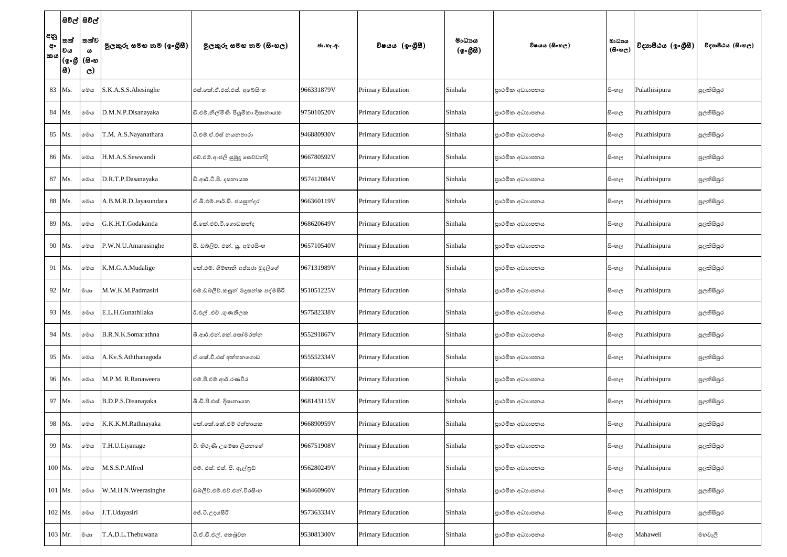|                 | සිවිල් සිවිල්                                                                                                                                                |                                               |                          |                                    |            |                          |                    |                |                                     |                    |                   |
|-----------------|--------------------------------------------------------------------------------------------------------------------------------------------------------------|-----------------------------------------------|--------------------------|------------------------------------|------------|--------------------------|--------------------|----------------|-------------------------------------|--------------------|-------------------|
| අනු<br>අං<br>කය | තත්<br> වය<br>$\overline{\phantom{a}}\, (\mathbf{\circ}\!\circ\!\mathbf{\mathfrak{G}}\, \,( \mathbf{\mathfrak{S}}\!\circ\!\mathbf{\mathfrak{G}}\, \,$<br> 8) | තත්ව<br>$\boldsymbol{\omega}$<br>$\mathbf{C}$ | මුලකුරු සමහ නම (ඉංගුිසී) | මුලකුරු සමහ නම (සිංහල)             | ජා.හැ.අ.   | විෂයය (ඉංගීසී)           | මාධාපය<br>(ඉංගීසී) | විෂයය (සිංහල)  | මාධාය<br>$(B \circ \mathfrak{v}_C)$ | විදාහපීඨය (ඉංගීසී) | විදාහපීඨය (සිංහල) |
|                 | 83 Ms.                                                                                                                                                       | මෙය                                           | S.K.A.S.S.Abesinghe      | එස්.කේ.ඒ.එස්.එස්. අබේසිංහ          | 966331879V | Primary Education        | Sinhala            | පාථමික අධාහපනය | සිංහල                               | Pulathisipura      | පුලතිසිපුර        |
|                 | 84 Ms.                                                                                                                                                       | මෙය                                           | D.M.N.P.Disanayaka       | ඩී.එම්.නිල්මිණි පියුමිකා දිසානායක  | 975010520V | Primary Education        | Sinhala            | පාථමික අධාහපනය | සි∘හල                               | Pulathisipura      | පුලතිසිපුර        |
|                 | 85 Ms.                                                                                                                                                       | මෙය                                           | T.M. A.S.Nayanathara     | ටී.එම්.ඒ.එස් නයනතාරා               | 946880930V | <b>Primary Education</b> | Sinhala            | පාථමික අධාහපනය | සිංහල                               | Pulathisipura      | පුලතිසිපුර        |
|                 | 86 Ms.                                                                                                                                                       | මෙය                                           | H.M.A.S.Sewwandi         | එච්.එම්.අංජලි සුමුදු සෙව්වන්දි     | 966780592V | <b>Primary Education</b> | Sinhala            | පාථමික අධාහපනය | සිංහල                               | Pulathisipura      | පුලතිසිපුර        |
|                 | 87 Ms.                                                                                                                                                       | මෙය                                           | D.R.T.P.Dasanayaka       | ඩි.ආර්.ටී.පි. දසනායක               | 957412084V | <b>Primary Education</b> | Sinhala            | පාථමික අධාහපනය | සිංහල                               | Pulathisipura      | පුලතිසිපුර        |
|                 | 88 Ms.                                                                                                                                                       | මෙය                                           | A.B.M.R.D.Jayasundara    | ඒ.බී.එම්.ආර්.ඩී. ජයසුන්දර          | 966360119V | Primary Education        | Sinhala            | පාථමික අධාහපනය | සි∘හල                               | Pulathisipura      | පුලතිසිපුර        |
|                 | 89 Ms.                                                                                                                                                       | මෙය                                           | G.K.H.T.Godakanda        | ජී.කේ.එච්.ටී.ගොඩකන්ද               | 968620649V | <b>Primary Education</b> | Sinhala            | පාථමික අධාහපනය | සි∘හල                               | Pulathisipura      | පුලතිසිපුර        |
|                 | 90 Ms.                                                                                                                                                       | මෙය                                           | P.W.N.U.Amarasinghe      | පී. ඩබලිව්. එන්. යූ. අමරසිංහ       | 965710540V | <b>Primary Education</b> | Sinhala            | පාථමික අධාහපනය | සිංහල                               | Pulathisipura      | පුලතිසිපුර        |
|                 | 91 Ms.                                                                                                                                                       | මෙය                                           | K.M.G.A.Mudalige         | කේ.එම්. ගිම්හානි අප්සරා මුදලිගේ    | 967131989V | <b>Primary Education</b> | Sinhala            | පාථමික අධාහපනය | සිංහල                               | Pulathisipura      | පුලතිසිපුර        |
|                 | 92 Mr.                                                                                                                                                       | මයා                                           | M.W.K.M.Padmasiri        | එම්.ඩබ්ලිව්.කසුන් මදූසන්ක පද්මසිරි | 951051225V | <b>Primary Education</b> | Sinhala            | පාථමික අධාහපනය | සි∘හල                               | Pulathisipura      | පුලතිසිපුර        |
|                 | 93 Ms.                                                                                                                                                       | මෙය                                           | E.L.H.Gunathilaka        | ඊ.එල් .එච් .ගුණතිලක                | 957582338V | Primary Education        | Sinhala            | පාථමික අධාහපනය | සි∘හල                               | Pulathisipura      | පුලතිසිපුර        |
|                 | 94 Ms.                                                                                                                                                       | මෙය                                           | B.R.N.K.Somarathna       | බී.ආර්.එන්.කේ.සෝමරත්න              | 955291867V | <b>Primary Education</b> | Sinhala            | පාථමික අධාහපනය | සි∘හල                               | Pulathisipura      | පුලතිසිපුර        |
|                 | 95 Ms.                                                                                                                                                       | මෙය                                           | A.Kv.S.Aththanagoda      | ඒ.කේ.වී.එස් අත්තනගොඩ               | 955552334V | <b>Primary Education</b> | Sinhala            | පාථමික අධාහපනය | සි∘හල                               | Pulathisipura      | පුලතිසිපුර        |
|                 | 96 Ms.                                                                                                                                                       | මෙය                                           | M.P.M. R.Ranaweera       | එම්.පී.එම්.ආර්.රණවීර               | 956880637V | Primary Education        | Sinhala            | පාථමික අධාහපනය | සිංහල                               | Pulathisipura      | පුලතිසිපුර        |
|                 | 97 Ms.                                                                                                                                                       | මෙය                                           | B.D.P.S.Disanayaka       | බී.ඩී.පි.එස්. දිසානායක             | 968143115V | Primary Education        | Sinhala            | පාථමික අධාහපනය | සි∘හල                               | Pulathisipura      | පුලතිසිපුර        |
|                 | 98 Ms.                                                                                                                                                       | මෙය                                           | K.K.K.M.Rathnayaka       | කේ.කේ.කේ.එම් රත්නායක               | 966890959V | Primary Education        | Sinhala            | පාථමික අධාහපනය | සි∘හල                               | Pulathisipura      | පුලතිසිපුර        |
|                 | 99 Ms.                                                                                                                                                       | මෙය                                           | T.H.U.Liyanage           | ටි. හිරුණි උමේෂා ලියනගේ            | 966751908V | Primary Education        | Sinhala            | පාථමික අධාහපනය | සි∘හල                               | Pulathisipura      | පුලතිසිපුර        |
|                 | 100 Ms.                                                                                                                                                      | මෙය                                           | M.S.S.P.Alfred           | එම්. එස්. එස්. පී. ඇල්ලුඩ්         | 956280249V | <b>Primary Education</b> | Sinhala            | පාථමික අධාහපනය | සි∘හල                               | Pulathisipura      | පුලතිසිපුර        |
|                 | 101 Ms.                                                                                                                                                      | මෙය                                           | W.M.H.N.Weerasinghe      | ඩබලිව්.එම්.එච්.එන්.වීරසිංහ         | 968460960V | Primary Education        | Sinhala            | පාථමික අධාහපනය | සි∘හල                               | Pulathisipura      | පුලතිසිපුර        |
|                 | $102$ Ms.                                                                                                                                                    | මෙය                                           | J.T.Udayasiri            | ජේ.ටී.උදයසිරි                      | 957363334V | Primary Education        | Sinhala            | පාථමික අධාහපනය | සි∘හල                               | Pulathisipura      | පුලතිසිපුර        |
|                 | $103$ Mr.                                                                                                                                                    | මයා                                           | T.A.D.L.Thebuwana        | ටී.ඒ.ඩී.එල්. තෙබුවන                | 953081300V | Primary Education        | Sinhala            | පාථමික අධාහපනය | සි∘හල                               | Mahaweli           | මහවැලි            |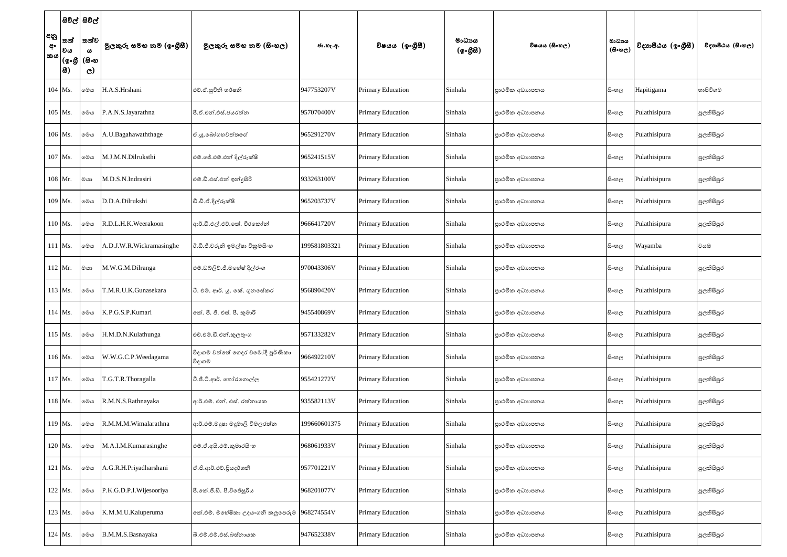|                        | සිවිල් සිවිල්                   |                                                          |                          |                                            |              |                          |                    |                |                                     |                    |                   |
|------------------------|---------------------------------|----------------------------------------------------------|--------------------------|--------------------------------------------|--------------|--------------------------|--------------------|----------------|-------------------------------------|--------------------|-------------------|
| අනු<br>අං<br><b>කය</b> | තත්<br> වය<br> (စ့•စ္ဘူ<br> සි) | තත්ව <br>$\boldsymbol{\omega}$<br>(සිංහ<br>$\mathcal{C}$ | මුලකුරු සමහ නම (ඉංගුිසී) | මූලකුරු සමහ නම (සිංහල)                     | ජා.හැ.අ.     | විෂයය (ඉංගීසී)           | මාධාපය<br>(ඉංගීසී) | විෂයය (සිංහල)  | මාධාය<br>$(B \circ \mathfrak{v}_C)$ | විදාහපීඨය (ඉංගීසී) | විදාහපීඨය (සිංහල) |
|                        | 104 Ms.                         | මෙය                                                      | H.A.S.Hrshani            | එච්.ඒ.සුවිනි හර්ෂනි                        | 947753207V   | <b>Primary Education</b> | Sinhala            | පාථමික අධාහපනය | සි∘හල                               | Hapitigama         | හාපිටිගම          |
|                        | 105 Ms.                         | මෙය                                                      | P.A.N.S.Jayarathna       | පී.ඒ.එන්.එස්.ජයරත්න                        | 957070400V   | Primary Education        | Sinhala            | පාථමික අධාහපනය | සි∘හල                               | Pulathisipura      | පුලතිසිපුර        |
|                        | 106 Ms.                         | මෙය                                                      | A.U.Bagahawaththage      | ඒ.යූ.බෝගහවත්තගේ                            | 965291270V   | Primary Education        | Sinhala            | පාථමික අධාහපනය | සි∘හල                               | Pulathisipura      | පුලතිසිපුර        |
|                        | 107 Ms.                         | මෙය                                                      | M.J.M.N.Dilruksthi       | එම්.ජේ.එම්.එන් දිල්රුක්ෂි                  | 965241515V   | <b>Primary Education</b> | Sinhala            | පාථමික අධාහපනය | සිංහල                               | Pulathisipura      | පුලතිසිපුර        |
|                        | 108 Mr.                         | මයා                                                      | M.D.S.N.Indrasiri        | එම්.ඩී.එස්.එන් ඉන්දුසිරි                   | 933263100V   | <b>Primary Education</b> | Sinhala            | පාථමික අධාහපනය | සි∘හල                               | Pulathisipura      | පුලතිසිපුර        |
|                        | 109 Ms.                         | මෙය                                                      | D.D.A.Dilrukshi          | ඩී.ඩී.ඒ.දිල්රුක්ෂි                         | 965203737V   | Primary Education        | Sinhala            | පාථමික අධාහපනය | සි∘හල                               | Pulathisipura      | පුලතිසිපුර        |
|                        | 110 Ms.                         | මෙය                                                      | R.D.L.H.K.Weerakoon      | ආර්.ඩී.එල්.එච්.කේ. වීරකෝන්                 | 966641720V   | Primary Education        | Sinhala            | පාථමික අධාහපනය | සි∘හල                               | Pulathisipura      | පුලතිසිපුර        |
|                        | $111$ Ms.                       | මෙය                                                      | A.D.J.W.R.Wickramasinghe | ඊ.ඩී.ජී.වරුනි ඉමල්ෂා විකුමසිංහ             | 199581803321 | Primary Education        | Sinhala            | පාථමික අධාහපනය | සිංහල                               | Wayamba            | වයඹ               |
|                        | $112$ Mr.                       | මයා                                                      | M.W.G.M.Dilranga         | එම්.ඩබ්ලිව්.ජී.මහේෂ් දිල්රංග               | 970043306V   | Primary Education        | Sinhala            | පාථමික අධාහපනය | සිංහල                               | Pulathisipura      | පුලතිසිපුර        |
|                        | 113 Ms.                         | මෙය                                                      | T.M.R.U.K.Gunasekara     | ටී. එම්. ආර්. යූ. කේ. ගුනසේකර              | 956890420V   | Primary Education        | Sinhala            | පාථමික අධාහපනය | සි∘හල                               | Pulathisipura      | පුලතිසිපුර        |
|                        | $114$ Ms.                       | මෙය                                                      | K.P.G.S.P.Kumari         | කේ. පී. ජී. එස්. පී. කුමාරි                | 945540869V   | <b>Primary Education</b> | Sinhala            | පාථමික අධාහපනය | සි∘හල                               | Pulathisipura      | පුලතිසිපුර        |
|                        | 115 Ms.                         | මෙය                                                      | H.M.D.N.Kulathunga       | එච්.එම්.ඩී.එන්.කුලතුංග                     | 957133282V   | Primary Education        | Sinhala            | පාථමික අධාහපනය | සි∘හල                               | Pulathisipura      | පුලතිසිපුර        |
|                        | 116 Ms.                         | මෙය                                                      | W.W.G.C.P.Weedagama      | වීදාගම වත්තේ ගෙදර චමෝදි පූර්ණිකා<br>වීදාගම | 966492210V   | Primary Education        | Sinhala            | පාථමික අධාහපනය | සිංහල                               | Pulathisipura      | පුලතිසිපුර        |
|                        | 117 Ms.                         | මෙය                                                      | T.G.T.R.Thoragalla       | ටී.ජී.ටී.ආර්. තෝරගොල්ල                     | 955421272V   | Primary Education        | Sinhala            | පාථමික අධාහපනය | සිංහල                               | Pulathisipura      | පුලතිසිපුර        |
|                        | 118 Ms.                         | මෙය                                                      | R.M.N.S.Rathnayaka       | ආර්.එම්. එන්. එස්. රත්නායක                 | 935582113V   | Primary Education        | Sinhala            | පාථමික අධාහපනය | සි∘හල                               | Pulathisipura      | පුලතිසිපුර        |
|                        | 119 Ms.                         | මෙය                                                      | R.M.M.M.Wimalarathna     | ආර්.එම්.මදූෂා මදූමාලි විමලරත්න             | 199660601375 | Primary Education        | Sinhala            | පාථමික අධාහපනය | සි∘හල                               | Pulathisipura      | පුලතිසිපුර        |
|                        | 120 Ms.                         | මෙය                                                      | M.A.I.M.Kumarasinghe     | එම්.ඒ.අයි.එම්.කුමාරසිංහ                    | 968061933V   | Primary Education        | Sinhala            | පාථමික අධාහපනය | සි∘හල                               | Pulathisipura      | පුලතිසිපුර        |
|                        | 121 Ms.                         | මෙය                                                      | A.G.R.H.Priyadharshani   | ඒ.ජී.ආර්.එච්.පියදර්ශනී                     | 957701221V   | Primary Education        | Sinhala            | පාථමික අධාහපනය | සිංහල                               | Pulathisipura      | පුලතිසිපුර        |
|                        | 122 Ms.                         | මෙය                                                      | P.K.G.D.P.I.Wijesooriya  | පී.කේ.ජී.ඩී. පී.විජේසූරිය                  | 968201077V   | Primary Education        | Sinhala            | පාථමික අධාහපනය | සිංහල                               | Pulathisipura      | පුලතිසිපුර        |
|                        | 123 Ms.                         | මෙය                                                      | K.M.M.U.Kaluperuma       | කේ.එම්. මහේෂිකා උදයංගනි කලුපෙරුම           | 968274554V   | Primary Education        | Sinhala            | පාථමික අධාහපනය | සි∘හල                               | Pulathisipura      | පුලතිසිපුර        |
|                        | 124 Ms.                         | මෙය                                                      | B.M.M.S.Basnayaka        | බි.එම්.එම්.එස්.බස්තායක                     | 947652338V   | <b>Primary Education</b> | Sinhala            | පාථමික අධාහපනය | සිංහල                               | Pulathisipura      | පුලතිසිපුර        |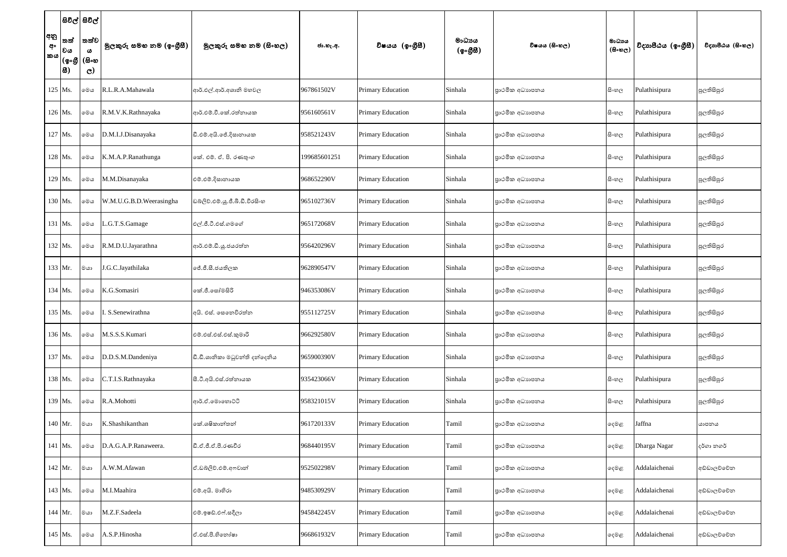|                 |                    | සිවිල් සිවිල්                                                                                        |                          |                                 |              |                          |                    |                |                                     |                    |                   |
|-----------------|--------------------|------------------------------------------------------------------------------------------------------|--------------------------|---------------------------------|--------------|--------------------------|--------------------|----------------|-------------------------------------|--------------------|-------------------|
| අනු<br>අං<br>කය | තත්<br> වය<br> සි) | තත්ව<br>$\boldsymbol{\omega}$<br>$\vert\left($ စွႋ $\delta\right\vert$ $\left($ &ႋႜහ<br>$\mathbf{C}$ | මුලකුරු සමහ නම (ඉංගුීසී) | මූලකුරු සමහ නම (සිංහල)          | ජා.හැ.අ.     | විෂයය (ඉංගීසී)           | මාධායය<br>(ඉංගීසී) | විෂයය (සිංහල)  | මාධාය<br>$(B \circ \mathfrak{v}_C)$ | විදාහපීඨය (ඉංගීසී) | විදාහපීඨය (සිංහල) |
|                 | 125 Ms.            | මෙය                                                                                                  | R.L.R.A.Mahawala         | ආර්.එල්.ආර්.අශානි මහවල          | 967861502V   | <b>Primary Education</b> | Sinhala            | පාථමික අධාහපනය | සි∘හල                               | Pulathisipura      | පුලතිසිපුර        |
|                 | 126 Ms.            | මෙය                                                                                                  | R.M.V.K.Rathnayaka       | ආර්.එම්.වී.කේ.රත්නායක           | 956160561V   | Primary Education        | Sinhala            | පාථමික අධාහපනය | සි∘හල                               | Pulathisipura      | පුලතිසිපුර        |
|                 | 127 Ms.            | මෙය                                                                                                  | D.M.I.J.Disanayaka       | ඩී.එම්.අයි.ජේ.දිසානායක          | 958521243V   | <b>Primary Education</b> | Sinhala            | පාථමික අධාහපනය | සි∘හල                               | Pulathisipura      | පුලතිසිපුර        |
|                 | 128 Ms.            | මෙය                                                                                                  | K.M.A.P.Ranathunga       | කේ. එම්. ඒ. පි. රණතුංග          | 199685601251 | <b>Primary Education</b> | Sinhala            | පාථමික අධාහපනය | සි∘හල                               | Pulathisipura      | පුලතිසිපුර        |
|                 | 129 Ms.            | මෙය                                                                                                  | M.M.Disanayaka           | එම්.එම්.දිසානායක                | 968652290V   | <b>Primary Education</b> | Sinhala            | පාථමික අධාහපනය | සි∘හල                               | Pulathisipura      | පුලතිසිපුර        |
|                 | 130 Ms.            | මෙය                                                                                                  | W.M.U.G.B.D.Weerasingha  | ඩබ්ලිව්.එම්.යූ.ජී.බී.ඩී.වීරසිංහ | 965102736V   | <b>Primary Education</b> | Sinhala            | පාථමික අධාහපනය | සි∘හල                               | Pulathisipura      | පුලතිසිපුර        |
| $131$ Ms.       |                    | මෙය                                                                                                  | .G.T.S.Gamage            | එල්.ජී.ටී.එස්.ගමගේ              | 965172068V   | <b>Primary Education</b> | Sinhala            | පාථමික අධාහපනය | සි∘හල                               | Pulathisipura      | පුලතිසිපුර        |
|                 | 132 Ms.            | මෙය                                                                                                  | R.M.D.U.Jayarathna       | ආර්.එම්.ඩී.ශූ.ජයරත්න            | 956420296V   | Primary Education        | Sinhala            | පාථමික අධාහපනය | සි∘හල                               | Pulathisipura      | පුලතිසිපුර        |
|                 | 133 Mr.            | මයා                                                                                                  | J.G.C.Jayathilaka        | ජේ.ජී.සී.ජයතිලක                 | 962890547V   | <b>Primary Education</b> | Sinhala            | පාථමික අධාහපනය | සි∘හල                               | Pulathisipura      | පුලතිසිපුර        |
|                 | 134 Ms.            | මෙය                                                                                                  | K.G.Somasiri             | කේ.ජී.සෝමසිරි                   | 946353086V   | <b>Primary Education</b> | Sinhala            | පාථමික අධාහපනය | සි∘හල                               | Pulathisipura      | පුලතිසිපුර        |
|                 | 135 Ms.            | මෙය                                                                                                  | . S.Senewirathna         | අයි. එස්. සෙතෙවිරත්න            | 955112725V   | <b>Primary Education</b> | Sinhala            | පාථමික අධාහපනය | සි∘හල                               | Pulathisipura      | පුලතිසිපුර        |
|                 | 136 Ms.            | මෙය                                                                                                  | M.S.S.S.Kumari           | එම්.එස්.එස්.එස්.කුමාරි          | 966292580V   | <b>Primary Education</b> | Sinhala            | පාථමික අධාහපනය | සි∘හල                               | Pulathisipura      | පුලතිසිපුර        |
|                 | 137 Ms.            | මෙය                                                                                                  | D.D.S.M.Dandeniya        | ඩී.ඩී.ශානිකා මධුවන්ති දත්දෙනිය  | 965900390V   | <b>Primary Education</b> | Sinhala            | පාථමික අධාහපනය | සි∘හල                               | Pulathisipura      | පුලතිසිපුර        |
|                 | 138 Ms.            | මෙය                                                                                                  | C.T.I.S.Rathnayaka       | සී.ටී.අයි.එස්.රත්නායක           | 935423066V   | <b>Primary Education</b> | Sinhala            | පාථමික අධාහපනය | සිංහල                               | Pulathisipura      | පුලතිසිපුර        |
|                 | 139 Ms.            | මෙය                                                                                                  | R.A.Mohotti              | ආර්.ඒ.මොහොට්ටි                  | 958321015V   | <b>Primary Education</b> | Sinhala            | පාථමික අධාහපනය | සි∘හල                               | Pulathisipura      | පුලතිසිපුර        |
|                 | 140 Mr.            | ගය                                                                                                   | K.Shashikanthan          | කේ.ශෂිකාන්තන්                   | 961720133V   | <b>Primary Education</b> | Tamil              | පාථමික අධාහපනය | දෙමළ                                | Jaffna             | යාපනය             |
|                 | 141 Ms.            | මෙය                                                                                                  | D.A.G.A.P.Ranaweera.     | ඩී.ඒ.ජී.ඒ.පී.රණවීර              | 968440195V   | <b>Primary Education</b> | Tamil              | පාථමික අධාහපනය | දෙමළ                                | Dharga Nagar       | දර්ගා නගර්        |
|                 | 142 Mr.            | මයා                                                                                                  | A.W.M.Afawan             | ඒ.ඩබ්ලිව්.එම්.අෆවාන්            | 952502298V   | <b>Primary Education</b> | Tamil              | පාථමික අධාහපනය | දෙමළ                                | Addalaichenai      | අඩ්ඩාලච්චේන       |
|                 | 143 Ms.            | මෙය                                                                                                  | M.I.Maahira              | එම්.අයි. මාහිරා                 | 948530929V   | <b>Primary Education</b> | Tamil              | පාථමික අධාහපනය | දෙමළ                                | Addalaichenai      | අඩ්ඩාලච්චේන       |
|                 | $144$ Mr.          | මයා                                                                                                  | M.Z.F.Sadeela            | එම්.ඉෂඩ්.එෆ්.සදීලා              | 945842245V   | Primary Education        | Tamil              | පාථමික අධාහපනය | දෙමළ                                | Addalaichenai      | අඩ්ඩාලච්චේන       |
|                 | 145 Ms.            | මෙය                                                                                                  | A.S.P.Hinosha            | ඒ.එස්.පී.හිතෝෂා                 | 966861932V   | Primary Education        | Tamil              | පාථමික අධාහපනය | දෙමළ                                | Addalaichenai      | අඩ්ඩාලච්චේන       |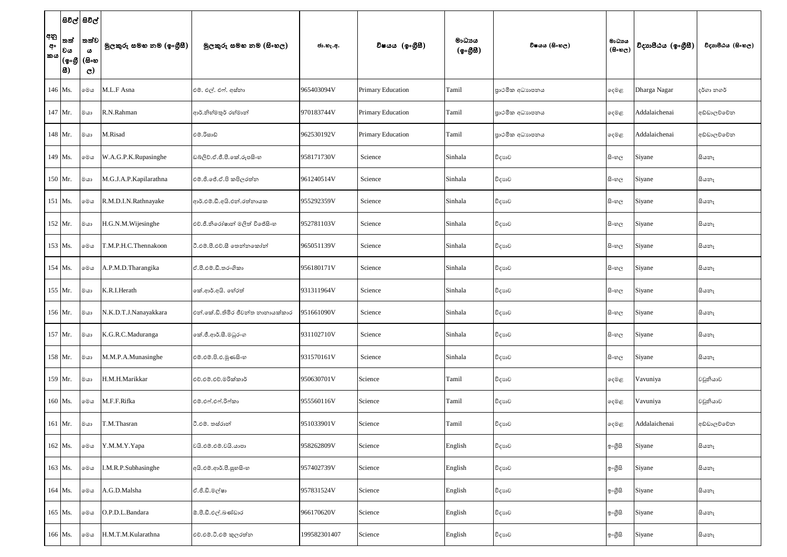| අනු<br>අං<br>කය | තත්<br> වය<br> සි) | සිවිල් සිවිල් <br> තත්ව <br>$\boldsymbol{\omega}$<br>$\overline{\phantom{a}}\, (\mathbb{g}{\circ}\mathbb{g} \,(\mathbb{g}{\circ}\mathbb{w}) $<br>$\mathbf{C}$ | මුලකුරු සමහ නම (ඉංගුිසී) | මූලකුරු සමහ නම (සිංහල)            | ජා.හැ.අ.     | විෂයය (ඉංගීසී)           | මාධායය<br>(ඉංගීසී) | විෂයය (සිංහල)  | මාධාපය<br>$(B \circ \mathfrak{v}_C)$ | විදාහපීඨය (ඉංගීසී) | විදාහපීඨය (සිංහල) |
|-----------------|--------------------|---------------------------------------------------------------------------------------------------------------------------------------------------------------|--------------------------|-----------------------------------|--------------|--------------------------|--------------------|----------------|--------------------------------------|--------------------|-------------------|
| $146$ Ms.       |                    | මෙය                                                                                                                                                           | M.L.F Asna               | එම්. එල්. එෆ්. අස්නා              | 965403094V   | <b>Primary Education</b> | Tamil              | පාථමික අධාහපනය | දෙමළ                                 | Dharga Nagar       | දර්ගා නගර්        |
| 147 Mr.         |                    | මයා                                                                                                                                                           | R.N.Rahman               | ආර්.නිහ්මතුර් රහ්මාන්             | 970183744V   | <b>Primary Education</b> | Tamil              | පාථමික අධාහපනය | දෙමළ                                 | Addalaichenai      | අඩ්ඩාලව්වේන       |
|                 | 148 Mr.            | මයා                                                                                                                                                           | M.Risad                  | එම්.රිසාඩ්                        | 962530192V   | Primary Education        | Tamil              | පාථමික අධාහපනය | දෙමළ                                 | Addalaichenai      | අඩ්ඩාලච්චේන       |
| 149 Ms.         |                    | මෙය                                                                                                                                                           | W.A.G.P.K.Rupasinghe     | ඩබ්ලිව්.ඒ.ජී.පී.කේ.රූපසිංහ        | 958171730V   | Science                  | Sinhala            | විදාහව         | සිංහල                                | Siyane             | සියතෑ             |
| 150 Mr.         |                    | මයා                                                                                                                                                           | M.G.J.A.P.Kapilarathna   | එම්.ජී.ජේ.ඒ.පි කපිලරත්ත           | 961240514V   | Science                  | Sinhala            | විදාහව         | සි∘හල                                | Siyane             | සියතෑ             |
| $151$ Ms.       |                    | මෙය                                                                                                                                                           | R.M.D.I.N.Rathnayake     | ආර්.එම්.ඩී.අයි.එන්.රත්නායක        | 955292359V   | Science                  | Sinhala            | විදාහව         | සි∘හල                                | Siyane             | සියතෑ             |
|                 | 152 Mr.            | මයා                                                                                                                                                           | H.G.N.M.Wijesinghe       | එච්.ජී.නිරෝෂාන් මලිත් විජේසිංහ    | 952781103V   | Science                  | Sinhala            | විදාහව         | සි∘හල                                | Siyane             | සියතෑ             |
| 153 Ms.         |                    | මෙය                                                                                                                                                           | T.M.P.H.C.Thennakoon     | ටී.එම්.පී.එච්.සී තෙන්නකෝන්        | 965051139V   | Science                  | Sinhala            | විදාහව         | සි∘හල                                | Siyane             | සියතෑ             |
| 154 Ms.         |                    | මෙය                                                                                                                                                           | A.P.M.D.Tharangika       | ඒ.පී.එම්.ඩී.තරංගිකා               | 956180171V   | Science                  | Sinhala            | විදාහව         | සි∘හල                                | Siyane             | සියතෑ             |
| 155 Mr.         |                    | මයා                                                                                                                                                           | K.R.I.Herath             | කේ.ආර්.අයි. හේරත්                 | 931311964V   | Science                  | Sinhala            | විදාහව         | සි∘හල                                | Siyane             | සියතෑ             |
|                 | 156 Mr.            | මයා                                                                                                                                                           | N.K.D.T.J.Nanayakkara    | එන්.කේ.ඩි.තිමිර ජීවන්ත නානායක්කාර | 951661090V   | Science                  | Sinhala            | විදාහව         | සි∘හල                                | Siyane             | සියනෑ             |
|                 | $157$ Mr.          | ගය                                                                                                                                                            | K.G.R.C.Maduranga        | කේ.ජී.ආර්.සී.මධුරංග               | 931102710V   | Science                  | Sinhala            | විදාහව         | සි∘හල                                | Siyane             | සියතෑ             |
|                 | 158 Mr.            | මයා                                                                                                                                                           | M.M.P.A.Munasinghe       | එම්.එම්.පි.එ.මූණසිංහ              | 931570161V   | Science                  | Sinhala            | විදාහව         | සි∘හල                                | Siyane             | සියතෑ             |
|                 | $159$ Mr.          | මයා                                                                                                                                                           | H.M.H.Marikkar           | එච්.එම්.එච්.මරික්කාර්             | 950630701V   | Science                  | Tamil              | විදාහව         | දෙමළ                                 | Vavuniya           | වවුනියාව          |
|                 | 160 Ms.            | මෙය                                                                                                                                                           | M.F.F.Rifka              | එම්.එෆ්.එෆ්.රිෆ්කා                | 955560116V   | Science                  | Tamil              | විදාහව         | දෙමළ                                 | Vavuniya           | වවුනියාව          |
|                 | 161 Mr.            | මයා                                                                                                                                                           | T.M.Thasran              | ටී.එම්. තස්රාන්                   | 951033901V   | Science                  | Tamil              | විදාහව         | ඈමළ                                  | Addalaichenai      | අඩ්ඩාලව්වේන       |
|                 | 162 Ms.            | මෙය                                                                                                                                                           | Y.M.M.Y.Yapa             | වයි.එම්.එම්.වයි.යාපා              | 958262809V   | Science                  | English            | විදාහව         | ඉංගුිසි                              | Siyane             | සියනෑ             |
|                 | 163 Ms.            | මෙය                                                                                                                                                           | I.M.R.P.Subhasinghe      | අයි.එම්.ආර්.පී.සුහසිංහ            | 957402739V   | Science                  | English            | විදාහව         | ඉංගීසි                               | Siyane             | සියතෑ             |
|                 | 164 Ms.            | මෙය                                                                                                                                                           | A.G.D.Malsha             | ඒ.ජී.ඩී.මල්ෂා                     | 957831524V   | Science                  | English            | විදාහව         | ඉංගීසි                               | Siyane             | සියනෑ             |
| 165 Ms.         |                    | මෙය                                                                                                                                                           | O.P.D.L.Bandara          | ඕ.පී.ඩී.එල්.බණ්ඩාර                | 966170620V   | Science                  | English            | විදාහව         | ඉංගීසි                               | Siyane             | සියතෑ             |
|                 | 166 Ms.            | මෙය                                                                                                                                                           | H.M.T.M.Kularathna       | එච්.එම්.ටී.එම් කුලරත්න            | 199582301407 | Science                  | English            | විදාහව         | ඉංගීසි                               | Siyane             | සියතෑ             |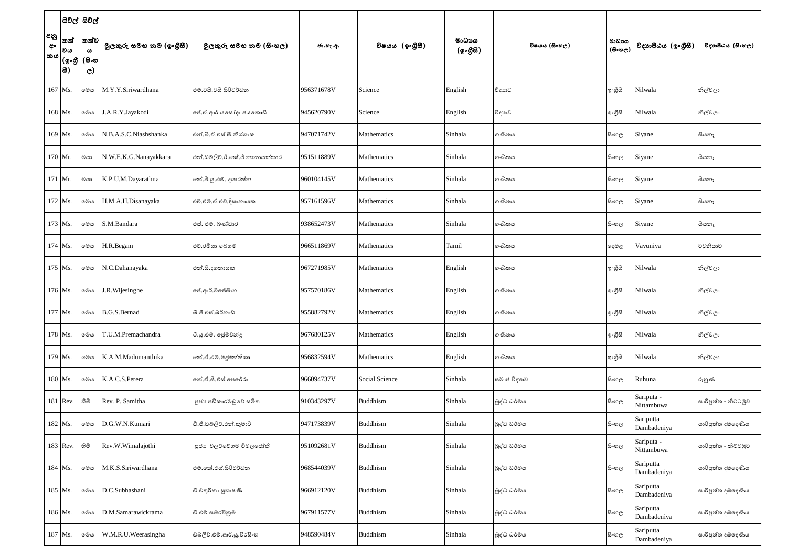|                 | සිවිල් සිවිල්                                                               |              |                          |                                |            |                 |                    |               |                                      |                          |                      |
|-----------------|-----------------------------------------------------------------------------|--------------|--------------------------|--------------------------------|------------|-----------------|--------------------|---------------|--------------------------------------|--------------------------|----------------------|
| අනු<br>අං<br>කය | තත්<br> වය<br>$ (\textbf{\textit{g}}\!\circ\!\textbf{\textit{g}}\! )$ (සිංහ | තත්ව <br>ය   | මුලකුරු සමහ නම (ඉංගුිසී) | මූලකුරු සමහ නම (සිංහල)         | ජා.හැ.අ.   | විෂයය (ඉංගීසී)  | මාධාපය<br>(ඉංගීසී) | විෂයය (සිංහල) | මාධායෙ<br>$(B \circ \mathfrak{v}_C)$ | විදාහපීඨය (ඉංගීසී)       | විදාහපීඨය (සිංහල)    |
|                 | 8)                                                                          | $\mathbf{C}$ |                          |                                |            |                 |                    |               |                                      |                          |                      |
|                 | 167 Ms.                                                                     | මෙය          | M.Y.Y.Siriwardhana       | එම්.වයි.වයි සිරිවර්ධන          | 956371678V | Science         | English            | විදාහව        | ඉංගුිසි                              | Nilwala                  | නිල්වලා              |
|                 | 168 Ms.                                                                     | මෙය          | J.A.R.Y.Jayakodi         | ජේ.ඒ.ආර්.යසෝදා ජයකොඩි          | 945620790V | Science         | English            | විදාහව        | ඉංගුිසි                              | Nilwala                  | නිල්වලා              |
|                 | 169 Ms.                                                                     | මෙය          | N.B.A.S.C.Niashshanka    | එන්.බී.ඒ.එස්.සී.නිශ්ශංක        | 947071742V | Mathematics     | Sinhala            | ගණිතය         | සිංහල                                | Siyane                   | සියතෑ                |
| 170 Mr.         |                                                                             | මයා          | N.W.E.K.G.Nanayakkara    | එන්.ඩබ්ලිව්.ඊ.කේ.ජී නානායක්කාර | 951511889V | Mathematics     | Sinhala            | ගණිතය         | සි∘හල                                | Siyane                   | සියතෑ                |
| 171 Mr.         |                                                                             | ගය           | K.P.U.M.Dayarathna       | කේ.පී.යූ.එම්. දයාරත්න          | 960104145V | Mathematics     | Sinhala            | ගණිතය         | සි∘හල                                | Siyane                   | සියතෑ                |
|                 | 172 Ms.                                                                     | මෙය          | H.M.A.H.Disanayaka       | එච්.එම්.ඒ.එච්.දිසානායක         | 957161596V | Mathematics     | Sinhala            | ගණිතය         | සි∘හල                                | Siyane                   | සියතෑ                |
|                 | 173 Ms.                                                                     | මෙය          | S.M.Bandara              | එස්. එම්. බණ්ඩාර               | 938652473V | Mathematics     | Sinhala            | ගණිතය         | සි∘හල                                | Siyane                   | සියතෑ                |
| 174 Ms.         |                                                                             | මෙය          | H.R.Begam                | එච්.රමීසා ඉබගම්                | 966511869V | Mathematics     | Tamil              | ගණිතය         | දෙමළ                                 | Vavuniya                 | වවුනියාව             |
| 175 Ms.         |                                                                             | මෙය          | N.C.Dahanayaka           | එන්.සී.දහනායක                  | 967271985V | Mathematics     | English            | ගණිතය         | ඉංගුිසි                              | Nilwala                  | නිල්වලා              |
| 176 Ms.         |                                                                             | මෙය          | J.R. Wijesinghe          | ලජ්.ආර්.විජේසි∘හ               | 957570186V | Mathematics     | English            | ගණිතය         | ඉංගුිසි                              | Nilwala                  | නිල්වලා              |
|                 | 177 Ms.                                                                     | මෙය          | B.G.S.Bernad             | බී.ජී.එස්.බර්නාඩ්              | 955882792V | Mathematics     | English            | ගණිතය         | ඉංගුිසි                              | Nilwala                  | නිල්වලා              |
|                 | 178 Ms.                                                                     | මෙය          | T.U.M.Premachandra       | ටී.යූ.එම්. ජේමචන්දු            | 967680125V | Mathematics     | English            | ගණිතය         | ඉංගීසි                               | Nilwala                  | නිල්වලා              |
|                 | 179 Ms.                                                                     | මෙය          | K.A.M.Madumanthika       | කේ.ඒ.එම්.මදූමන්තිකා            | 956832594V | Mathematics     | English            | ගණිතය         | ඉංගුිසි                              | Nilwala                  | නිල්වලා              |
|                 | 180 Ms.                                                                     | මෙය          | K.A.C.S.Perera           | කේ.ඒ.සී.එස්.පෙරේරා             | 966094737V | Social Science  | Sinhala            | සමාජ විදාහව   | සි∘හල                                | Ruhuna                   | රුහුණ                |
|                 | 181 Rev.                                                                    | හිමි         | Rev. P. Samitha          | පූජා පඩිකාරමඩුවේ සමිත          | 910343297V | Buddhism        | Sinhala            | බුද්ධ ධර්මය   | සි∘හල                                | Sariputa -<br>Nittambuwa | සාරිපුත්ත - නිට්ටඹුව |
|                 | 182 Ms.                                                                     | මෙය          | D.G.W.N.Kumari           | ඩී.ජී.ඩබ්ලිව්.එන්.කුමාරි       | 947173839V | <b>Buddhism</b> | Sinhala            | බුද්ධ ධර්මය   | සි∘හල                                | Sariputta<br>Dambadeniya | සාරිපුත්ත දඹදෙණිය    |
|                 | 183 Rev.                                                                    | හිමි         | Rev.W.Wimalajothi        | පූජා වලව්වේගම විමලජෝති         | 951092681V | Buddhism        | Sinhala            | බුද්ධ ධර්මය   | සි∘හල                                | Sariputa -<br>Nittambuwa | සාරිපුත්ත - නිට්ටඹුව |
|                 | 184 Ms.                                                                     | මෙය          | M.K.S.Siriwardhana       | එම්.කේ.එස්.සිරිවර්ධන           | 968544039V | Buddhism        | Sinhala            | බුද්ධ ධර්මය   | සිංහල                                | Sariputta<br>Dambadeniya | සාරිපුත්ත දඹදෙණිය    |
|                 | 185 Ms.                                                                     | මෙය          | D.C.Subhashani           | ඩී.චතුරිකා සුභාෂණී             | 966912120V | Buddhism        | Sinhala            | බුද්ධ ධර්මය   | සි∘හල                                | Sariputta<br>Dambadeniya | සාරිපුත්ත දඹදෙණිය    |
|                 | 186 Ms.                                                                     | මෙය          | D.M.Samarawickrama       | ඩී.එම් සමරවිකුම                | 967911577V | Buddhism        | Sinhala            | බුද්ධ ධර්මය   | සි∘හල                                | Sariputta<br>Dambadeniya | සාරිපුත්ත දඹදෙණිය    |
|                 | 187 Ms.                                                                     | මෙය          | W.M.R.U.Weerasingha      | ඩබලිව්.එම්.ආර්.යූ.වීරසිංහ      | 948590484V | <b>Buddhism</b> | Sinhala            | බුද්ධ ධර්මය   | සි∘හල                                | Sariputta<br>Dambadeniya | සාරිපුත්ත දඹදෙණිය    |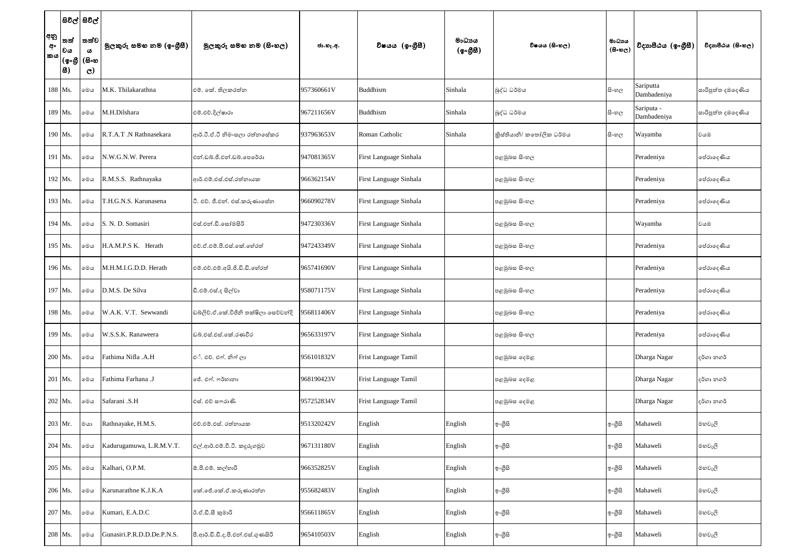|                 |                            | සිවිල් සිවිල්          |                            |                                       |            |                        |                    |                          |                                     |                           |                     |
|-----------------|----------------------------|------------------------|----------------------------|---------------------------------------|------------|------------------------|--------------------|--------------------------|-------------------------------------|---------------------------|---------------------|
| අනු<br>අං<br>කය | තත්<br> වය                 | තත්ව<br>ය              | මුලකුරු සමහ නම (ඉංගුිසී)   | මූලකුරු සමහ නම (සිංහල)                | ජා.හැ.අ.   | විෂයය (ඉංගීසී)         | මාධායය<br>(ඉංගීසී) | විෂයය (සිංහල)            | මාධාය<br>$(B \circ \mathfrak{v}_C)$ | විදාහපීඨය (ඉංගීසී)        | විදාහපීඨය (සිංහල)   |
|                 | (စွ∘စ <u>္</u> ပြီ<br> 83) | (සිංහ<br>$\mathcal{C}$ |                            |                                       |            |                        |                    |                          |                                     |                           |                     |
|                 | 188 Ms.                    | මෙය                    | M.K. Thilakarathna         | එම්. කේ. තිලකරත්න                     | 957360661V | Buddhism               | Sinhala            | බුද්ධ ධර්මය              | සි∘හල                               | Sariputta<br>Dambadeniya  | සාරිපුත්ත දඹදෙණිය   |
|                 | 189 Ms.                    | මෙය                    | M.H.Dilshara               | එම්.එච්.දිල්ෂාරා                      | 967211656V | <b>Buddhism</b>        | Sinhala            | බුද්ධ ධර්මය              | සිංහල                               | Sariputa -<br>Dambadeniya | සාරිපුත්ත දඹදෙණිය   |
|                 | 190 Ms.                    | මෙය                    | R.T.A.T .N Rathnasekara    | ආර්.ටී.ඒ.ටී නිමංසලා රත්නසේකර          | 937963653V | Roman Catholic         | Sinhala            | කිස්තියානි/ කතෝලික ධර්මය | සි∘හල                               | Wayamba                   | වයඹ                 |
|                 | 191 Ms.                    | මෙය                    | N.W.G.N.W. Perera          | එන්.ඩබ්.ජී.එන්.ඩබ්.පෙරේරා             | 947081365V | First Language Sinhala |                    | පළමුබස සිංහල             |                                     | Peradeniya                | ග්රාදෙණිය           |
|                 | 192 Ms.                    | මෙය                    | R.M.S.S. Rathnayaka        | ආර්.එම්.එස්.එස්.රත්නායක               | 966362154V | First Language Sinhala |                    | පළමුබස සිංහල             |                                     | Peradeniya                | ග්රාදෙණිය           |
|                 | 193 Ms.                    | මෙය                    | T.H.G.N.S. Karunasena      | ටී. එච්. ජී.එන්. එස්.කරුණාසේත         | 966090278V | First Language Sinhala |                    | පළමුබස සිංහල             |                                     | Peradeniya                | ග්රාදෙණිය           |
|                 | 194 Ms.                    | මෙය                    | S. N. D. Somasiri          | එස්.එන්.ඩී.සෝමසිරි                    | 947230336V | First Language Sinhala |                    | පළමුබස සිංහල             |                                     | Wayamba                   | වයඹ                 |
|                 | 195 Ms.                    | මෙය                    | H.A.M.P.S K. Herath        | එච්.ඒ.එම්.පී.එස්.කේ.හේරත්             | 947243349V | First Language Sinhala |                    | පළමුබස සිංහල             |                                     | Peradeniya                | ග්රාදෙණිය           |
|                 | 196 Ms.                    | මෙය                    | M.H.M.I.G.D.D. Herath      | එම්.එච්.එම්.අයි.ජී.ඩි.ඩි.හේරත්        | 965741690V | First Language Sinhala |                    | පළමුබස සිංහල             |                                     | Peradeniya                | ග්රාදෙණිය           |
|                 | 197 Ms.                    | මෙය                    | D.M.S. De Silva            | ඩී.එම්.එස්.ද සිල්වා                   | 958071175V | First Language Sinhala |                    | පළමුබස සිංහල             |                                     | Peradeniya                | ග්රාදෙණිය           |
|                 | 198 Ms.                    | මෙය                    | W.A.K. V.T. Sewwandi       | ඩබ්ලිව්.ඒ.කේ.විජිනි තක්ෂිලා සෙව්වන්දි | 956811406V | First Language Sinhala |                    | පළමුබස සිංහල             |                                     | Peradeniya                | <b>්ප්රාදෙණිය</b>   |
|                 | 199 Ms.                    | මෙය                    | W.S.S.K. Ranaweera         | ඩබ්.එස්.එස්.කේ.රණවීර                  | 965633197V | First Language Sinhala |                    | පළමුබස සිංහල             |                                     | Peradeniya                | ලප්රාලද <i>ණි</i> ය |
|                 | 200 Ms.                    | මෙය                    | Fathima Nifla .A.H         | එ්. එච්. එෆ්. නිෆ් ලා                 | 956101832V | Frist Language Tamil   |                    | පළමුබස දෙමළ              |                                     | Dharga Nagar              | දර්ගා නගර්          |
|                 | 201 Ms.                    | මෙය                    | Fathima Farhana .J         | ජේ. එෆ්. ෆර්හානා                      | 968190423V | Frist Language Tamil   |                    | පළමුබස දෙමළ              |                                     | Dharga Nagar              | දර්ගා නගර්          |
|                 | 202 Ms.                    | මෙය                    | Safarani .S.H              | එස්. එච් සෆරාණි                       | 957252834V | Frist Language Tamil   |                    | පළමුබස දෙමළ              |                                     | Dharga Nagar              | දර්ගා නගර්          |
|                 | 203 Mr.                    | මයා                    | Rathnayake, H.M.S.         | එච්.එම්.එස්. රත්නායක                  | 951320242V | English                | English            | ඉංගුිසි                  | ඉංගීසි                              | Mahaweli                  | මහවැලි              |
|                 | 204 Ms.                    | මෙය                    | Kadurugamuwa, L.R.M.V.T.   | එල්.ආර්.එම්.වී.ටී. කදුරුගමුව          | 967131180V | English                | English            | ඉංගීසි                   | ඉංගීසි                              | Mahaweli                  | මහවැලි              |
|                 | 205 Ms.                    | මෙය                    | Kalhari, O.P.M.            | ඕ.පී.එම්. කල්හාරි                     | 966352825V | English                | English            | ඉංගීසි                   | ඉංගීසි                              | Mahaweli                  | මහවැලි              |
|                 | 206 Ms.                    | මෙය                    | Karunarathne K.J.K.A       | කේ.ජේ.කේ.ඒ.කරුණාරත්ත                  | 955682483V | English                | English            | ඉංගීසි                   | ඉංගීසි                              | Mahaweli                  | මහවැලි              |
|                 | 207 Ms.                    | මෙය                    | Kumari, E.A.D.C            | ඊ.ඒ.ඩී.සී කුමාරි                      | 956611865V | English                | English            | ඉ∘ගීසි                   | ඉංගීසි                              | Mahaweli                  | මහවැලි              |
|                 | 208 Ms.                    | මෙය                    | Gunasiri.P.R.D.D.De.P.N.S. | පී.ආර්.ඩී.ඩී.ද.පී.එන්.එස්.ගුණසිරි     | 965410503V | English                | English            | ඉංගීසි                   | ඉ∘ගීුසි                             | Mahaweli                  | මහවැලි              |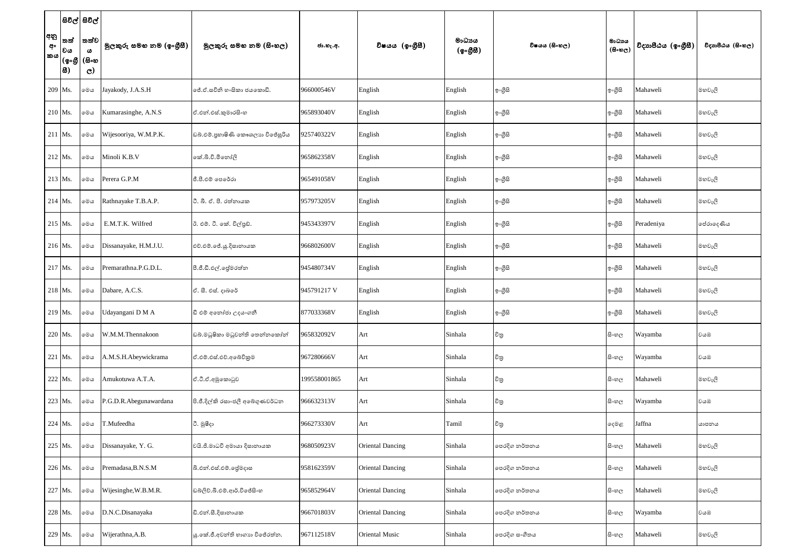|                 | සිවිල් සිවිල්                                                          |               |                          |                                   |              |                         |                                              |               |                                     |                    |                   |
|-----------------|------------------------------------------------------------------------|---------------|--------------------------|-----------------------------------|--------------|-------------------------|----------------------------------------------|---------------|-------------------------------------|--------------------|-------------------|
| අනු<br>අං<br>කය | තත්<br> වය                                                             | තත්ව<br>ය     | මුලකුරු සමහ නම (ඉංගුිසී) | මූලකුරු සමහ නම (සිංහල)            | ජා.හැ.අ.     | විෂයය (ඉංගීසී)          | මාධායය<br>$(\circledcirc \circ \mathcal{B})$ | විෂයය (සිංහල) | මාධාය<br>$(B \circ \mathfrak{v}_C)$ | විදාහපීඨය (ඉංගීසී) | විදාහපීඨය (සිංහල) |
|                 | $ (\textbf{\textit{Q}}\!\circ\! \textbf{\textit{S}}\! )$ (සිංහ<br> 83) | $\mathcal{C}$ |                          |                                   |              |                         |                                              |               |                                     |                    |                   |
|                 | 209 Ms.                                                                | මෙය           | Jayakody, J.A.S.H        | ලජ්.ඒ.සචිනි හ∘සිකා ජයකොඩි.        | 966000546V   | English                 | English                                      | ඉංගීසි        | ඉංගුිසි                             | Mahaweli           | මහවැලි            |
|                 | $210$ Ms.                                                              | මෙය           | Kumarasinghe, A.N.S      | ඒ.එන්.එස්.කුමාරසිංහ               | 965893040V   | English                 | English                                      | ඉංගුිසි       | ඉංගුිසි                             | Mahaweli           | මහවැලි            |
|                 | 211 Ms.                                                                | මෙය           | Wijesooriya, W.M.P.K.    | ඩබ්.එම්.පුහාෂිණි කෞශලාහ විජේසූරිය | 925740322V   | English                 | English                                      | ඉංගීසි        | ඉංගුිසි                             | Mahaweli           | මහවැලි            |
|                 | 212 Ms.                                                                | මෙය           | Minoli K.B.V             | කේ.බි.වි.මිනෝලි                   | 965862358V   | English                 | English                                      | ඉංගීසි        | ඉංගුිසි                             | Mahaweli           | මහවැලි            |
|                 | $213$ Ms.                                                              | මෙය           | Perera G.P.M             | ජී.පී.එම් පෙරේරා                  | 965491058V   | English                 | English                                      | ඉංගීසි        | ඉංගුිසි                             | Mahaweli           | මහවැලි            |
|                 | $214$ Ms.                                                              | මෙය           | Rathnayake T.B.A.P.      | ටී. බී. ඒ. පී. රත්තායක            | 957973205V   | English                 | English                                      | ඉංගීසි        | ඉංගුිසි                             | Mahaweli           | මහවැලි            |
|                 | $215$ Ms.                                                              | මෙය           | E.M.T.K. Wilfred         | ඊ. එම්. ටී. කේ. විල්පුඩ්.         | 945343397V   | English                 | English                                      | ඉංගීසි        | ඉංගීසි                              | Peradeniya         | පේරාදෙණිය         |
|                 | 216 Ms.                                                                | මෙය           | Dissanayake, H.M.J.U.    | එච්.එම්.ජේ.යූ.දිසානායක            | 966802600V   | English                 | English                                      | ඉංගීසි        | ඉංගුිසි                             | Mahaweli           | මහවැලි            |
|                 | 217 Ms.                                                                | මෙය           | Premarathna.P.G.D.L.     | පී.ජී.ඩී.එල්.පේුමරත්න             | 945480734V   | English                 | English                                      | ඉංගීසි        | ඉංගුිසි                             | Mahaweli           | මහවැලි            |
|                 | 218 Ms.                                                                | මෙය           | Dabare, A.C.S.           | ඒ. සී. එස්. දාබරේ                 | 945791217 V  | English                 | English                                      | ඉංගීසි        | ඉංගුිසි                             | Mahaweli           | මහවැලි            |
|                 | 219 Ms.                                                                | මෙය           | Udayangani D M A         | ඩී එම් අනෝජා උදයංගනී              | 877033368V   | English                 | English                                      | ඉංගීසි        | ඉංගීසි                              | Mahaweli           | මහවැලි            |
|                 | 220 Ms.                                                                | මෙය           | W.M.M.Thennakoon         | ඩබ්.මධුෂිකා මධුවන්ති තෙන්නකෝන්    | 965832092V   | Art                     | Sinhala                                      | විතු          | සි∘හල                               | Wayamba            | වයඹ               |
|                 | $221$ Ms.                                                              | මෙය           | A.M.S.H.Abeywickrama     | ඒ.එම්.එස්.එච්.අබේවිකුම            | 967280666V   | Art                     | Sinhala                                      | චිතු          | සි∘හල                               | Wayamba            | වයඹ               |
|                 | 222 Ms.                                                                | මෙය           | Amukotuwa A.T.A.         | ඒ.ටී.ඒ.අමුකොටුව                   | 199558001865 | Art                     | Sinhala                                      | විතු          | සි∘හල                               | Mahaweli           | මහවැලි            |
|                 | 223 Ms.                                                                | මෙය           | P.G.D.R.Abegunawardana   | පි.ජී.දිල්කි රසාංජලී අබෙගුණවර්ධන  | 966632313V   | Art                     | Sinhala                                      | චිතු          | සි∘හල                               | Wayamba            | වයඹ               |
|                 | $224$ Ms.                                                              | මෙය           | T.Mufeedha               | ටී. මූෂීදා                        | 966273330V   | Art                     | Tamil                                        | විතු          | දෙමළ                                | Jaffna             | යාපනය             |
|                 | 225 Ms.                                                                | මෙය           | Dissanayake, Y. G.       | වයි.ජී.මාධවි අමායා දිසානායක       | 968050923V   | <b>Oriental Dancing</b> | Sinhala                                      | පෙරදිග නර්තනය | සි∘හල                               | Mahaweli           | මහවැලි            |
|                 | 226 Ms.                                                                | මෙය           | Premadasa, B.N.S.M       | බි.එන්.එස්.එම්.ලේමදාස             | 958162359V   | <b>Oriental Dancing</b> | Sinhala                                      | පෙරදිග නර්තනය | සි∘හල                               | Mahaweli           | මහවැලි            |
|                 | 227 Ms.                                                                | මෙය           | Wijesinghe, W.B.M.R.     | ඩබ්ලිව්.බී.එම්.ආර්.විජේසිංහ       | 965852964V   | <b>Oriental Dancing</b> | Sinhala                                      | පෙරදිග නර්තනය | සි∘හල                               | Mahaweli           | මහවැලි            |
|                 | 228 Ms.                                                                | මෙය           | D.N.C.Disanayaka         | ඩි.එන්.සී.දිසානායක                | 966701803V   | <b>Oriental Dancing</b> | Sinhala                                      | පෙරදිග නර්තනය | සි∘හල                               | Wayamba            | වයඹ               |
|                 | 229 Ms.                                                                | මෙය           | Wijerathna, A.B.         | යු.කේ.ජී.අවන්ති භාගාා විජේරත්න.   | 967112518V   | Oriental Music          | Sinhala                                      | පෙරදිග සංගීතය | සි∘හල                               | Mahaweli           | මහවැලි            |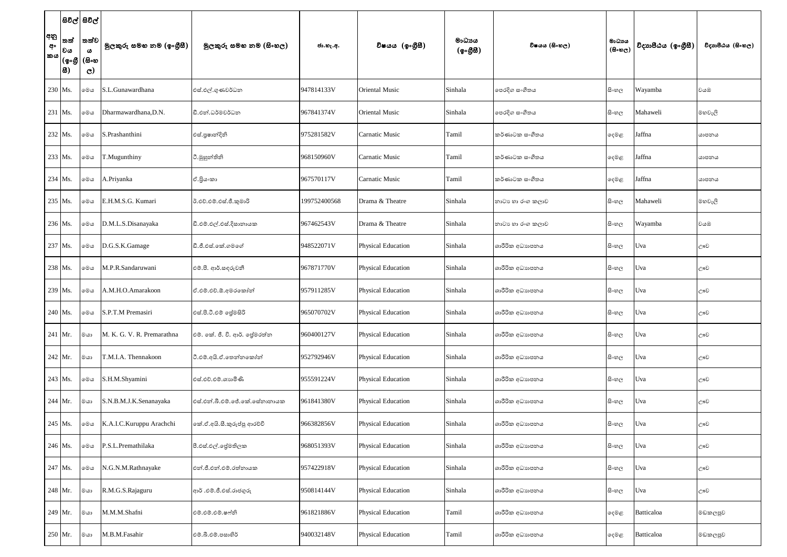|                 | සවල් සවල්                         |                                                         |                            |                               |              |                           |                                                          |                  |                                      |                    |                   |
|-----------------|-----------------------------------|---------------------------------------------------------|----------------------------|-------------------------------|--------------|---------------------------|----------------------------------------------------------|------------------|--------------------------------------|--------------------|-------------------|
| අනු<br>අං<br>කය | තත්<br> වය<br> (စ့•စ္ဟိ (<br> සි) | තත්ව <br>$\boldsymbol{\omega}$<br>(සිංහ<br>$\mathbf{C}$ | මුලකුරු සමහ නම (ඉංගුිසි)   | මූලකුරු සමහ නම (සිංහල)        | ජා.හැ.අ.     | විෂයය (ඉංගීසී)            | මාධායය<br>$(\circledcirc \circ \mathcal{B} \mathcal{B})$ | විෂයය (සිංහල)    | මාධායය<br>$(B \circ \circledcirc_C)$ | විදාහපීඨය (ඉංගීසී) | විදාහපීඨය (සිංහල) |
| 230 Ms.         |                                   | මෙය                                                     | S.L.Gunawardhana           | එස්.එල්.ගුණවර්ධන              | 947814133V   | <b>Oriental Music</b>     | Sinhala                                                  | පෙරදිග සංගීතය    | සිංහල                                | Wayamba            | වයඹ               |
| 231 Ms.         |                                   | මෙය                                                     | Dharmawardhana, D.N.       | ඩී.එන්.ධර්මවර්ධන              | 967841374V   | <b>Oriental Music</b>     | Sinhala                                                  | පෙරදිග සංගීතය    | සිංහල                                | Mahaweli           | මහවැලි            |
| 232 Ms.         |                                   | මෙය                                                     | S.Prashanthini             | එස්.පුෂාන්දිනි                | 975281582V   | <b>Carnatic Music</b>     | Tamil                                                    | කර්ණාටක සංගීතය   | දෙමළ                                 | Jaffna             | යාපනය             |
| 233 Ms.         |                                   | මෙය                                                     | T.Mugunthiny               | ටී.මුහුන්තිනි                 | 968150960V   | <b>Carnatic Music</b>     | Tamil                                                    | කර්ණාටක සංගීතය   | දෙමළ                                 | Jaffna             | යාපනය             |
| 234 Ms.         |                                   | මෙය                                                     | A.Priyanka                 | ඒ.පිය∘කා                      | 967570117V   | <b>Carnatic Music</b>     | Tamil                                                    | කර්ණාටක සංගීතය   | දෙමළ                                 | Jaffna             | යාපනය             |
| 235 Ms.         |                                   | මෙය                                                     | E.H.M.S.G. Kumari          | ඊ.එච්.එම්.එස්.ජී.කුමාරි       | 199752400568 | Drama & Theatre           | Sinhala                                                  | නාටා හා රංග කලාව | සි∘හල                                | Mahaweli           | මහවැලි            |
| 236 Ms.         |                                   | මෙය                                                     | D.M.L.S.Disanayaka         | ඩී.එම්.එල්.එස්.දිසානායක       | 967462543V   | Drama & Theatre           | Sinhala                                                  | නාටා හා රංග කලාව | සි∘හල                                | Wayamba            | වයඹ               |
| 237 Ms.         |                                   | මෙය                                                     | D.G.S.K.Gamage             | ඩී.ජී.එස්.කේ.ගමගේ             | 948522071V   | <b>Physical Education</b> | Sinhala                                                  | ශාරීරික අධාහපනය  | සි∘හල                                | Uva                | ඌව                |
| 238 Ms.         |                                   | මෙය                                                     | M.P.R.Sandaruwani          | එම්.පී. ආර්.සඳරුවනී           | 967871770V   | <b>Physical Education</b> | Sinhala                                                  | ශාරීරික අධාහපනය  | සිංහල                                | Uva                | ඌව                |
| 239 Ms.         |                                   | මෙය                                                     | A.M.H.O.Amarakoon          | ඒ.එම්.එච්.ඕ.අමරකෝන්           | 957911285V   | <b>Physical Education</b> | Sinhala                                                  | ශාරීරික අධාහපනය  | සි∘හල                                | Uva                | ඌව                |
| 240 Ms.         |                                   | මෙය                                                     | S.P.T.M Premasiri          | එස්.පී.ටී.එම් ලේමසිරි         | 965070702V   | Physical Education        | Sinhala                                                  | ශාරීරික අධාහපනය  | සි∘හල                                | Uva                | ඌව                |
|                 | 241 Mr.                           | මයා                                                     | M. K. G. V. R. Premarathna | එම්. කේ. ජී. වි. ආර්. ජේමරත්න | 960400127V   | <b>Physical Education</b> | Sinhala                                                  | ශාරීරික අධාහපනය  | සිංහල                                | Uva                | ඌව                |
|                 | $242$ Mr.                         | මයා                                                     | T.M.I.A. Thennakoon        | ටී.එම්.අයි.ඒ.තෙන්නකෝන්        | 952792946V   | <b>Physical Education</b> | Sinhala                                                  | ශාරීරික අධාහපනය  | සි∘හල                                | Uva                | ඌව                |
| 243 Ms.         |                                   | මෙය                                                     | S.H.M.Shyamini             | එස්.එච්.එම්.ශාහමිණි           | 955591224V   | Physical Education        | Sinhala                                                  | ශාරීරික අධාහපනය  | සිංහල                                | Uva                | ඌව                |
|                 | 244 Mr.                           | මයා                                                     | S.N.B.M.J.K.Senanayaka     | එස්.එන්.බී.එම්.ජේ.කේ.සේනානායක | 961841380V   | <b>Physical Education</b> | Sinhala                                                  | ශාරීරික අධාහපනය  | සිංහල                                | Uva                | ඌව                |
| 245 Ms.         |                                   | මෙය                                                     | K.A.I.C.Kuruppu Arachchi   | කේ.ඒ.අයි.සී.කුරුප්පු ආරච්චි   | 966382856V   | Physical Education        | Sinhala                                                  | ශාරීරික අධාහපනය  | සි∘හල                                | Uva                | ඌව                |
| 246 Ms.         |                                   | මෙය                                                     | P.S.L.Premathilaka         | පී.එස්.එල්.පේුමතිලක           | 968051393V   | <b>Physical Education</b> | Sinhala                                                  | ශාරීරික අධාහපනය  | සිංහල                                | Uva                | ඌව                |
| 247 Ms.         |                                   | මෙය                                                     | N.G.N.M.Rathnayake         | එන්.ජී.එන්.එම්.රත්නායක        | 957422918V   | <b>Physical Education</b> | Sinhala                                                  | ශාරීරික අධාහපනය  | සි∘හල                                | Uva                | ඌව                |
|                 | 248 Mr.                           | මයා                                                     | R.M.G.S.Rajaguru           | ආර් .එම්.ජී.එස්.රාජගුරු       | 950814144V   | <b>Physical Education</b> | Sinhala                                                  | ශාරීරික අධාහපනය  | සිංහල                                | Uva                | ඌව                |
| 249 Mr.         |                                   | මයා                                                     | M.M.M.Shafni               | එම්.එම්.එම්.ෂෆ්නි             | 961821886V   | <b>Physical Education</b> | Tamil                                                    | ශාරීරික අධාහපනය  | දෙමළ                                 | Batticaloa         | මඩකලපුව           |
|                 | 250 Mr.                           | මයා                                                     | M.B.M.Fasahir              | එම්.බී.එම්.පසාහිර්            | 940032148V   | <b>Physical Education</b> | Tamil                                                    | ශාරීරික අධාහපනය  | දෙමළ                                 | Batticaloa         | මඩකලපුව           |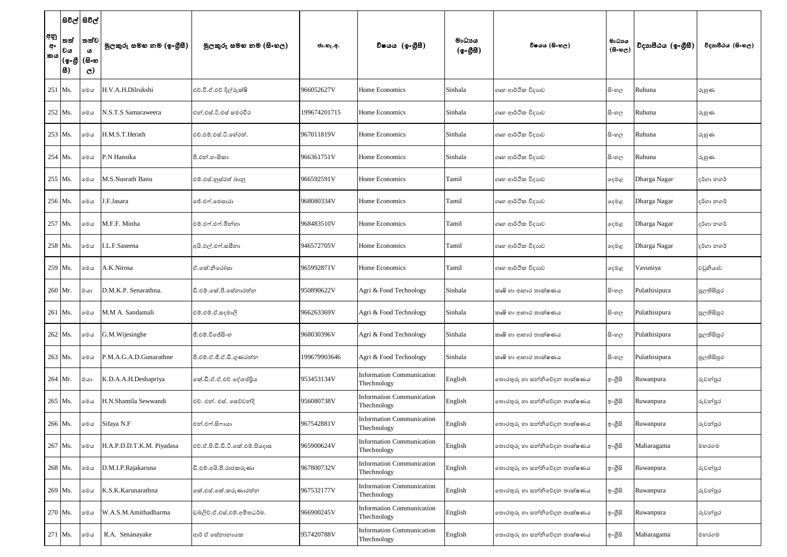|                        |                                  | සිවිල් සිවිල්                                            |                           |                                 |              |                                                 |                    |                              |                                     |                    |                   |
|------------------------|----------------------------------|----------------------------------------------------------|---------------------------|---------------------------------|--------------|-------------------------------------------------|--------------------|------------------------------|-------------------------------------|--------------------|-------------------|
| අනු<br>අං<br><b>කය</b> | තත්<br> වය<br> (စ့•စ္ဟို<br> සි) | තත්ව <br>$\boldsymbol{\omega}$<br>(සිංහ<br>$\mathcal{C}$ | මුලකුරු සමහ නම (ඉංගුිසී)  | මූලකුරු සමහ නම (සිංහල)          | ජා.හැ.අ.     | විෂයය (ඉංගීසී)                                  | මාධාපය<br>(ඉංගීසී) | විෂයය (සිංහල)                | මාධාය<br>$(B \circ \mathfrak{v}_C)$ | විදාහපීඨය (ඉංගීසී) | විදාහපීඨය (සිංහල) |
| 251 Ms.                |                                  | මෙය                                                      | H.V.A.H.Dilrukshi         | එච්.වී.ඒ.එච් දිල්රුක්ෂි         | 966052627V   | Home Economics                                  | Sinhala            | ගෘහ ආර්ථික විදාහව            | සි∘හල                               | Ruhuna             | රුහුණ             |
| 252 Ms.                |                                  | මෙය                                                      | N.S.T.S Samaraweera       | එන්.එස්.ටී.එස් සමරවීර           | 199674201715 | Home Economics                                  | Sinhala            | ගෘහ ආර්ථික විදාහව            | සි∘හල                               | Ruhuna             | රුහුණ             |
| 253 Ms.                |                                  | මෙය                                                      | H.M.S.T.Herath            | එච්.එම්.එස්.ටී.හේරත්            | 967011819V   | Home Economics                                  | Sinhala            | ගෘහ ආර්ථික විදාහව            | සිංහල                               | Ruhuna             | රුහුණ             |
| 254 Ms.                |                                  | මෙය                                                      | P.N Hansika               | පී.එන්.හංසිකා                   | 966361751V   | Home Economics                                  | Sinhala            | ගෘහ ආර්ථික විදාහව            | සි∘හල                               | Ruhuna             | රුහුණ             |
| 255 Ms.                |                                  | මෙය                                                      | M.S.Nusrath Banu          | එම්.එස්.නුස්රත් බානු            | 966592591V   | Home Economics                                  | Tamil              | ගෘහ ආර්ථික විදාහව            | දෙමළ                                | Dharga Nagar       | දර්ගා නගර්        |
| 256 Ms.                |                                  | මෙය                                                      | J.F.Jasara                | ජේ.එෆ්.ජෙසාරා                   | 968080334V   | Home Economics                                  | Tamil              | ගෘහ ආර්ථික විදාහව            | දෙමළ                                | Dharga Nagar       | දර්ගා නගර්        |
| 257 Ms.                |                                  | මෙය                                                      | M.F.F. Minha              | එම්.එෆ්.එෆ්.මින්හා              | 968483510V   | Home Economics                                  | Tamil              | ගෘහ ආර්ථික විදාහව            | දෙමළ                                | Dharga Nagar       | දර්ගා නගර්        |
| 258 Ms.                |                                  | මෙය                                                      | I.L.F.Saseena             | අයි.එල්.එෆ්.සසීනා               | 946572705V   | Home Economics                                  | Tamil              | ගෘහ ආර්ථික විදාහව            | දෙමළ                                | Dharga Nagar       | දර්ගා නගර්        |
| 259 Ms.                |                                  | මෙය                                                      | A.K.Nirosa                | ඒ.කේ.නිරෝසා                     | 965992871V   | Home Economics                                  | Tamil              | ගෘහ ආර්ථික විදාහව            | දෙමළ                                | Vavuniya           | වවුනියාව          |
| 260 Mr.                |                                  | මයා                                                      | D.M.K.P. Senarathna.      | ඩි.එම්.කේ.පී.සේනාරත්න           | 950890622V   | Agri & Food Technology                          | Sinhala            | කෘෂි හා ආහාර තාක්ෂණය         | සි∘හල                               | Pulathisipura      | පුලතිසිපුර        |
|                        | 261 Ms.                          | මෙය                                                      | M.M A. Sandamali          | එම්.එම්.ඒ.සදමාලි                | 966263369V   | Agri & Food Technology                          | Sinhala            | කෘෂි හා ආහාර තාක්ෂණය         | සි∘හල                               | Pulathisipura      | පුලතිසිපුර        |
|                        | 262 Ms.                          | මෙය                                                      | G.M. Wijesinghe           | ජී.එම්.විජේසිංහ                 | 968030396V   | Agri & Food Technology                          | Sinhala            | කෘෂි හා ආහාර තාක්ෂණය         | සි∘හල                               | Pulathisipura      | පුලතිසිපුර        |
|                        | 263 Ms.                          | මෙය                                                      | P.M.A.G.A.D.Gunarathne    | පී.එම්.ඒ.ජී.ඒ.ඩී.ගුණරත්ත        | 199679903646 | Agri & Food Technology                          | Sinhala            | කෘෂි හා ආහාර තාක්ෂණය         | සි∘හල                               | Pulathisipura      | පුලතිසිපුර        |
|                        | 264 Mr.                          | මයා                                                      | K.D.A.A.H.Deshapriya      | කේ.ඩී.ඒ.ඒ.එච් දේශප්පිුය         | 953453134V   | <b>Information Communication</b><br>Thechnology | English            | තොරතුරු හා සන්නිවේදන තාක්ෂණය | ඉංගීසි                              | Ruwanpura          | රුවන්පුර          |
|                        | 265 Ms.                          | මෙය                                                      | H.N.Shamila Sewwandi      | එච්. එන්. එස්. සෙව්වන්දි        | 956080738V   | <b>Information Communication</b><br>Thechnology | English            | තොරතුරු හා සන්නිවේදන තාක්ෂණය | ඉංගීසි                              | Ruwanpura          | රුවන්පුර          |
|                        | 266 Ms.                          | මෙය                                                      | Sifaya N.F                | එන්.එෆ්.සිෆායා                  | 967542881V   | <b>Information Communication</b><br>Thechnology | English            | තොරතුරු හා සන්නිවේදන තාක්ෂණය | ඉංගුිසි                             | Ruwanpura          | රුවන්පුර          |
| 267 Ms.                |                                  | මෙය                                                      | H.A.P.D.D.T.K.M. Piyadasa | එච්.ඒ.පි.ඩී.ඩී.ටී.කේ.එම්.පියදාස | 965900624V   | <b>Information Communication</b><br>Thechnology | English            | තොරතුරු හා සන්නිවේදන තාක්ෂණය | ඉංගීසි                              | Maharagama         | මහරගම             |
|                        | 268 Ms.                          | මෙය                                                      | D.M.I.P.Rajakaruna        | ඩී.එම්.අයි.පී.රාජකරුණා          | 967800732V   | <b>Information Communication</b><br>Thechnology | English            | තොරතුරු හා සන්නිවේදන තාක්ෂණය | ඉංගුිසි                             | Ruwanpura          | රුවන්පුර          |
|                        | 269 Ms.                          | මෙල                                                      | K.S.K.Karunarathna        | කේ.එස්.කේ.කරුණාරත්න             | 967532177V   | <b>Information Communication</b><br>Thechnology | English            | තොරතුරු හා සන්නිවේදන තාක්ෂණය | ඉංගුිසි                             | Ruwanpura          | රුවන්පුර          |
| 270 Ms.                |                                  | මෙය                                                      | W.A.S.M.Amithadharma      | ඩබ්ලිව්.ඒ.එස්.එම්.අමිතධර්ම.     | 966900245V   | <b>Information Communication</b><br>Thechnology | English            | තොරතුරු හා සන්නිවේදන තාක්ෂණය | ඉංගුිසි                             | Ruwanpura          | රුවන්පුර          |
|                        | 271 Ms.                          | මෙය                                                      | R.A. Senanayake           | ආර් ඒ සේනානායක                  | 957420788V   | <b>Information Communication</b><br>Thechnology | English            | තොරතුරු හා සන්නිවේදන තාක්ෂණය | ඉංගීසි                              | Maharagama         | මහරගම             |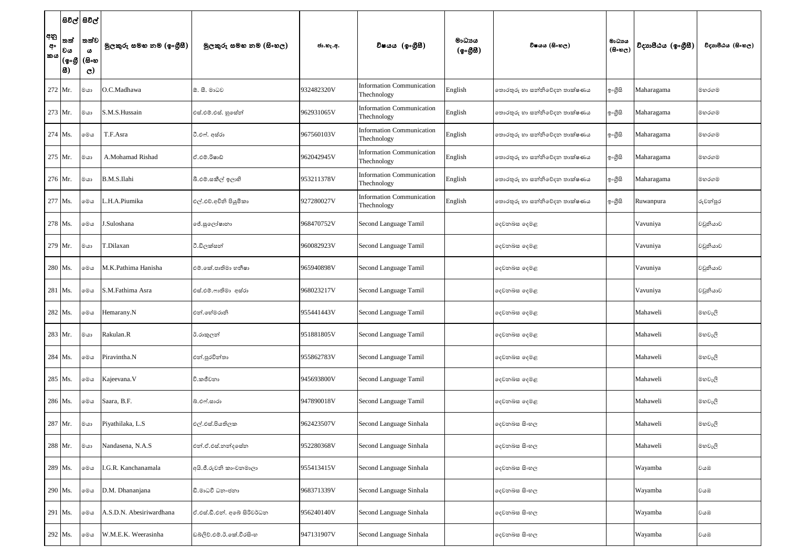|                        | සිවිල් සිවිල්                   |                                                          |                          |                             |            |                                                 |                    |                              |                                      |                    |                   |
|------------------------|---------------------------------|----------------------------------------------------------|--------------------------|-----------------------------|------------|-------------------------------------------------|--------------------|------------------------------|--------------------------------------|--------------------|-------------------|
| අනු<br>අං<br><b>කය</b> | තත්<br> වය<br> (စ့•စ္ဘူ<br> 83) | තත්ව <br>$\boldsymbol{\omega}$<br>(සිංහ<br>$\mathcal{C}$ | මුලකුරු සමහ නම (ඉංගුිසී) | මූලකුරු සමහ නම (සිංහල)      | ජා.හැ.අ.   | විෂයය (ඉංගීසී)                                  | මාධායය<br>(ඉංගීසී) | විෂයය (සිංහල)                | මාධායය<br>$(B \circ \mathfrak{v}_C)$ | විදාහපීඨය (ඉංගීසී) | විදාහපීඨය (සිංහල) |
| 272 Mr.                |                                 | මයා                                                      | O.C.Madhawa              | ඕ. සී. මාධව                 | 932482320V | <b>Information Communication</b><br>Thechnology | English            | තොරතුරු හා සන්නිවේදන තාක්ෂණය | ඉංගුිසි                              | Maharagama         | මහරගම             |
| 273 Mr.                |                                 | මයා                                                      | S.M.S.Hussain            | එස්.එම්.එස්. හුසේන්         | 962931065V | <b>Information Communication</b><br>Thechnology | English            | තොරතුරු හා සන්නිවේදන තාක්ෂණය | ඉංගුිසි                              | Maharagama         | මහරගම             |
| 274 Ms.                |                                 | මෙය                                                      | T.F.Asra                 | ටී.එෆ්. අස්රා               | 967560103V | <b>Information Communication</b><br>Thechnology | English            | තොරතුරු හා සන්නිවේදන තාක්ෂණය | ඉංගුිසි                              | Maharagama         | මහරගම             |
| 275 Mr.                |                                 | මයා                                                      | A.Mohamad Rishad         | ඒ.එම්.රිෂාඩ්                | 962042945V | <b>Information Communication</b><br>Thechnology | English            | තොරතුරු හා සන්නිවේදන තාක්ෂණය | ඉංගුිසි                              | Maharagama         | මහරගම             |
| 276 Mr.                |                                 | මයා                                                      | B.M.S.Ilahi              | බී.එම්.සකීල් ඉලාහි          | 953211378V | <b>Information Communication</b><br>Thechnology | English            | තොරතුරු හා සන්නිවේදන තාක්ෂණය | ඉංගුිසි                              | Maharagama         | මහරගම             |
| 277 Ms.                |                                 | මෙය                                                      | .H.A.Piumika             | එල්.එච්.අචිනි පියුමිකා      | 927280027V | <b>Information Communication</b><br>Thechnology | English            | තොරතුරු හා සන්නිවේදන තාක්ෂණය | ඉංගුිසි                              | Ruwanpura          | රුවන්පුර          |
| 278 Ms.                |                                 | මෙය                                                      | J.Suloshana              | ජේ.සුලෝෂානා                 | 968470752V | Second Language Tamil                           |                    | දෙවනබස දෙමළ                  |                                      | Vavuniya           | වවුනියාව          |
| 279 Mr.                |                                 | මයා                                                      | T.Dilaxan                | ථි.ඩිලක්සන්                 | 960082923V | Second Language Tamil                           |                    | දෙවනබස දෙමළ                  |                                      | Vavuniya           | වවුනියාව          |
| 280 Ms.                |                                 | මෙය                                                      | M.K.Pathima Hanisha      | එම්.කේ.පාතිමා හනීෂා         | 965940898V | Second Language Tamil                           |                    | දෙවනබස දෙමළ                  |                                      | Vavuniya           | වවුනියාව          |
| 281 Ms.                |                                 | මෙය                                                      | S.M.Fathima Asra         | එස්.එම්.ෆාතිමා අස්රා        | 968023217V | Second Language Tamil                           |                    | දෙවනබස දෙමළ                  |                                      | Vavuniya           | වවුනියාව          |
|                        | 282 Ms.                         | මෙය                                                      | Hemarany.N               | එන්.හේමරානි                 | 955441443V | Second Language Tamil                           |                    | දෙවනබස දෙමළ                  |                                      | Mahaweli           | මහවැලි            |
|                        | 283 Mr.                         | ගය                                                       | Rakulan.R                | ඊ.රාකුලන්                   | 951881805V | Second Language Tamil                           |                    | දෙවනබස දෙමළ                  |                                      | Mahaweli           | මහවැලි            |
|                        | 284 Ms.                         | මෙය                                                      | Piravintha.N             | එන්.පුරවින්තා               | 955862783V | Second Language Tamil                           |                    | දෙවනබස දෙමළ                  |                                      | Mahaweli           | මහවැලි            |
|                        | 285 Ms.                         | මෙය                                                      | Kajeevana. V             | වි.කජීවනා                   | 945693800V | Second Language Tamil                           |                    | දෙවනබස දෙමළ                  |                                      | Mahaweli           | මහවැලි            |
| 286 Ms.                |                                 | මෙය                                                      | Saara, B.F.              | බ්.එෆ්.සාරා                 | 947890018V | Second Language Tamil                           |                    | දෙවනබස දෙමළ                  |                                      | Mahaweli           | මහවැලි            |
|                        | 287 Mr.                         | මයා                                                      | Piyathilaka, L.S         | එල්.එස්.පියතිලක             | 962423507V | Second Language Sinhala                         |                    | දෙවනබස සිංහල                 |                                      | Mahaweli           | මහවැලි            |
|                        | 288 Mr.                         | මයා                                                      | Nandasena, N.A.S         | එන්.ඒ.එස්.නන්දසේන           | 952280368V | Second Language Sinhala                         |                    | දෙවනබස සිංහල                 |                                      | Mahaweli           | මහවැලි            |
|                        | 289 Ms.                         | මෙය                                                      | I.G.R. Kanchanamala      | අයි.ජී.රුවනි කාංචනමාලා      | 955413415V | Second Language Sinhala                         |                    | දෙවනබස සිංහල                 |                                      | Wayamba            | වයඹ               |
|                        | 290 Ms.                         | මෙය                                                      | D.M. Dhananjana          | ඩී.මාධවී ධනංජනා             | 968371339V | Second Language Sinhala                         |                    | දෙවනබස සිංහල                 |                                      | Wayamba            | වයඹ               |
| 291 Ms.                |                                 | මෙය                                                      | A.S.D.N. Abesiriwardhana | ඒ.එස්.ඩී.එන්. අබේ සිරිවර්ධන | 956240140V | Second Language Sinhala                         |                    | දෙවනබස සිංහල                 |                                      | Wayamba            | වයඹ               |
|                        | 292 Ms.                         | මෙය                                                      | W.M.E.K. Weerasinha      | ඩබ්ලිව්.එම්.ඊ.කේ.වීරසිංහ    | 947131907V | Second Language Sinhala                         |                    | දෙවනබස සිංහල                 |                                      | Wayamba            | වයඹ               |